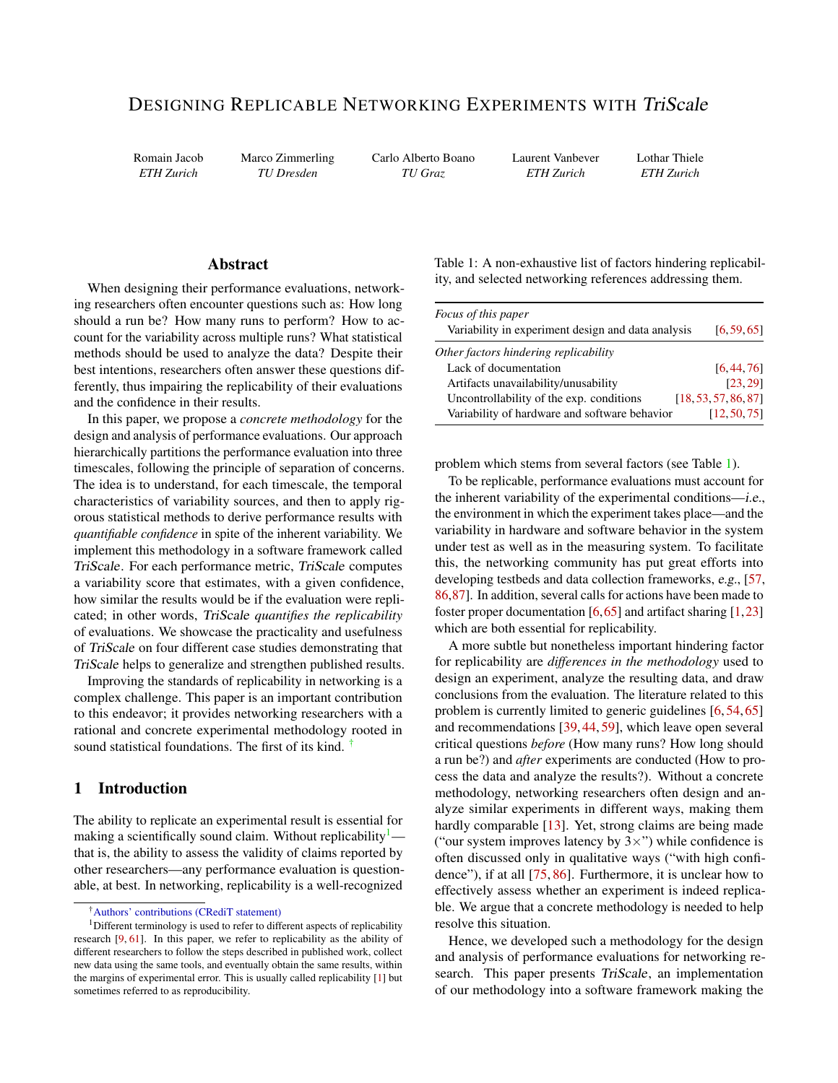# DESIGNING REPLICABLE NETWORKING EXPERIMENTS WITH TriScale

Romain Jacob *ETH Zurich*

Marco Zimmerling *TU Dresden*

Carlo Alberto Boano *TU Graz*

Laurent Vanbever *ETH Zurich*

Lothar Thiele *ETH Zurich*

# Abstract

When designing their performance evaluations, networking researchers often encounter questions such as: How long should a run be? How many runs to perform? How to account for the variability across multiple runs? What statistical methods should be used to analyze the data? Despite their best intentions, researchers often answer these questions differently, thus impairing the replicability of their evaluations and the confidence in their results.

In this paper, we propose a *concrete methodology* for the design and analysis of performance evaluations. Our approach hierarchically partitions the performance evaluation into three timescales, following the principle of separation of concerns. The idea is to understand, for each timescale, the temporal characteristics of variability sources, and then to apply rigorous statistical methods to derive performance results with *quantifiable confidence* in spite of the inherent variability. We implement this methodology in a software framework called TriScale. For each performance metric, TriScale computes a variability score that estimates, with a given confidence, how similar the results would be if the evaluation were replicated; in other words, TriScale *quantifies the replicability* of evaluations. We showcase the practicality and usefulness of TriScale on four different case studies demonstrating that TriScale helps to generalize and strengthen published results.

Improving the standards of replicability in networking is a complex challenge. This paper is an important contribution to this endeavor; it provides networking researchers with a rational and concrete experimental methodology rooted in sound statistical foundations. The first of its kind.

# <span id="page-0-3"></span>1 Introduction

The ability to replicate an experimental result is essential for making a scientifically sound claim. Without replicability $\frac{1}{x}$  $\frac{1}{x}$  $\frac{1}{x}$  that is, the ability to assess the validity of claims reported by other researchers—any performance evaluation is questionable, at best. In networking, replicability is a well-recognized

<span id="page-0-2"></span>Table 1: A non-exhaustive list of factors hindering replicability, and selected networking references addressing them.

| Focus of this paper<br>Variability in experiment design and data analysis | [6, 59, 65]          |
|---------------------------------------------------------------------------|----------------------|
| Other factors hindering replicability                                     |                      |
| Lack of documentation                                                     | [6.44.76]            |
| Artifacts unavailability/unusability                                      | [23.29]              |
| Uncontrollability of the exp. conditions                                  | [18, 53, 57, 86, 87] |
| Variability of hardware and software behavior                             | [12, 50, 75]         |
|                                                                           |                      |

problem which stems from several factors (see Table [1\)](#page-0-2).

To be replicable, performance evaluations must account for the inherent variability of the experimental conditions—i.e., the environment in which the experiment takes place—and the variability in hardware and software behavior in the system under test as well as in the measuring system. To facilitate this, the networking community has put great efforts into developing testbeds and data collection frameworks, e.g., [\[57,](#page-19-2) [86,](#page-21-1)[87\]](#page-21-2). In addition, several calls for actions have been made to foster proper documentation  $[6,65]$  $[6,65]$  and artifact sharing  $[1,23]$  $[1,23]$ which are both essential for replicability.

A more subtle but nonetheless important hindering factor for replicability are *differences in the methodology* used to design an experiment, analyze the resulting data, and draw conclusions from the evaluation. The literature related to this problem is currently limited to generic guidelines [\[6,](#page-16-2) [54,](#page-19-4) [65\]](#page-20-2) and recommendations [\[39,](#page-18-1) [44,](#page-19-0) [59\]](#page-20-1), which leave open several critical questions *before* (How many runs? How long should a run be?) and *after* experiments are conducted (How to process the data and analyze the results?). Without a concrete methodology, networking researchers often design and analyze similar experiments in different ways, making them hardly comparable [\[13\]](#page-16-4). Yet, strong claims are being made ("our system improves latency by  $3 \times$ ") while confidence is often discussed only in qualitative ways ("with high confidence"), if at all [\[75,](#page-21-3) [86\]](#page-21-1). Furthermore, it is unclear how to effectively assess whether an experiment is indeed replicable. We argue that a concrete methodology is needed to help resolve this situation.

Hence, we developed such a methodology for the design and analysis of performance evaluations for networking research. This paper presents TriScale, an implementation of our methodology into a software framework making the

<span id="page-0-1"></span><span id="page-0-0"></span><sup>†</sup>[Authors' contributions \(CRediT statement\)](https://nbviewer.jupyter.org/github/romain-jacob/triscale/blob/master/docs/assets/doc/2021_JSYS_CRediT.pdf)

 $1$ Different terminology is used to refer to different aspects of replicability research [\[9,](#page-16-0) [61\]](#page-20-0). In this paper, we refer to replicability as the ability of different researchers to follow the steps described in published work, collect new data using the same tools, and eventually obtain the same results, within the margins of experimental error. This is usually called replicability [\[1\]](#page-16-1) but sometimes referred to as reproducibility.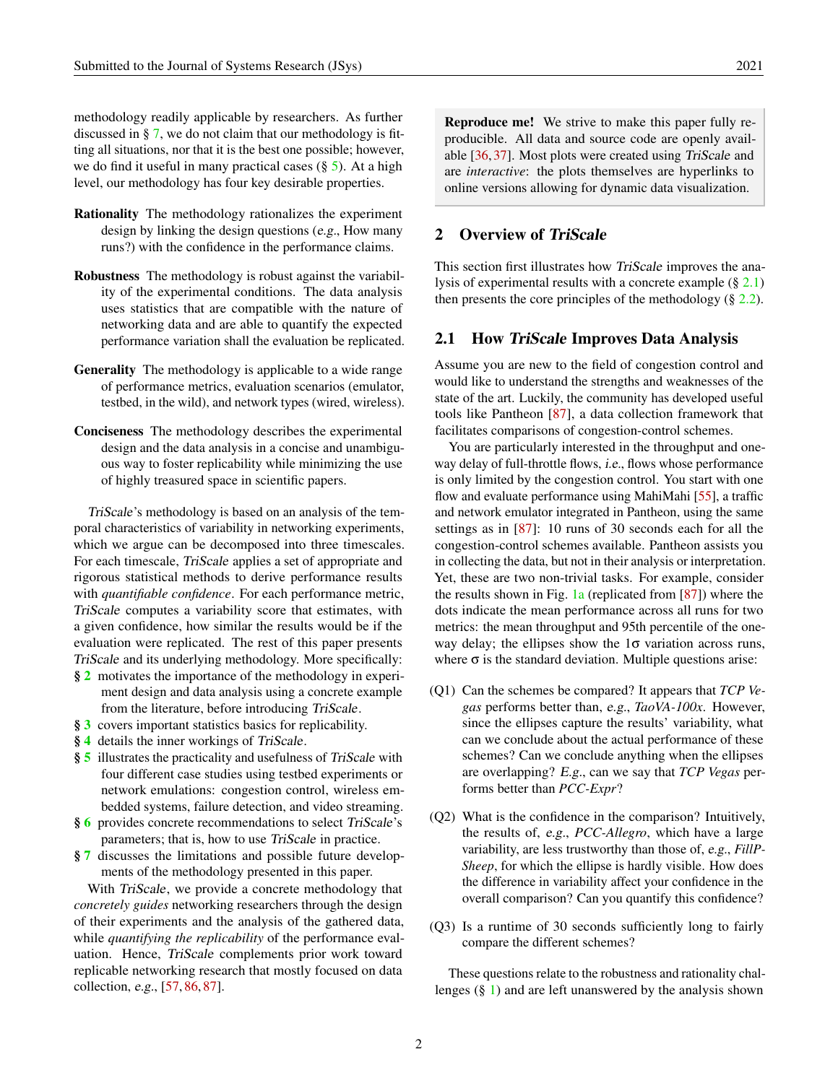methodology readily applicable by researchers. As further discussed in § [7,](#page-13-0) we do not claim that our methodology is fitting all situations, nor that it is the best one possible; however, we do find it useful in many practical cases  $(\S 5)$  $(\S 5)$ . At a high level, our methodology has four key desirable properties.

- Rationality The methodology rationalizes the experiment design by linking the design questions (e.g., How many runs?) with the confidence in the performance claims.
- Robustness The methodology is robust against the variability of the experimental conditions. The data analysis uses statistics that are compatible with the nature of networking data and are able to quantify the expected performance variation shall the evaluation be replicated.
- Generality The methodology is applicable to a wide range of performance metrics, evaluation scenarios (emulator, testbed, in the wild), and network types (wired, wireless).
- Conciseness The methodology describes the experimental design and the data analysis in a concise and unambiguous way to foster replicability while minimizing the use of highly treasured space in scientific papers.

TriScale's methodology is based on an analysis of the temporal characteristics of variability in networking experiments, which we argue can be decomposed into three timescales. For each timescale, TriScale applies a set of appropriate and rigorous statistical methods to derive performance results with *quantifiable confidence*. For each performance metric, TriScale computes a variability score that estimates, with a given confidence, how similar the results would be if the evaluation were replicated. The rest of this paper presents TriScale and its underlying methodology. More specifically:

- § [2](#page-1-0) motivates the importance of the methodology in experiment design and data analysis using a concrete example from the literature, before introducing TriScale.
- § [3](#page-4-0) covers important statistics basics for replicability.
- § [4](#page-5-0) details the inner workings of TriScale.
- § [5](#page-10-0) illustrates the practicality and usefulness of TriScale with four different case studies using testbed experiments or network emulations: congestion control, wireless embedded systems, failure detection, and video streaming.
- § [6](#page-12-0) provides concrete recommendations to select TriScale's parameters; that is, how to use TriScale in practice.
- § [7](#page-13-0) discusses the limitations and possible future developments of the methodology presented in this paper.

With TriScale, we provide a concrete methodology that *concretely guides* networking researchers through the design of their experiments and the analysis of the gathered data, while *quantifying the replicability* of the performance evaluation. Hence, TriScale complements prior work toward replicable networking research that mostly focused on data collection, e.g., [\[57,](#page-19-2) [86,](#page-21-1) [87\]](#page-21-2).

Reproduce me! We strive to make this paper fully reproducible. All data and source code are openly available [\[36,](#page-18-2) [37\]](#page-18-3). Most plots were created using TriScale and are *interactive*: the plots themselves are hyperlinks to online versions allowing for dynamic data visualization.

### <span id="page-1-0"></span>2 Overview of TriScale

This section first illustrates how TriScale improves the analysis of experimental results with a concrete example  $(\S 2.1)$  $(\S 2.1)$ then presents the core principles of the methodology  $(\S 2.2)$  $(\S 2.2)$ .

#### <span id="page-1-1"></span>2.1 How TriScale Improves Data Analysis

Assume you are new to the field of congestion control and would like to understand the strengths and weaknesses of the state of the art. Luckily, the community has developed useful tools like Pantheon [\[87\]](#page-21-2), a data collection framework that facilitates comparisons of congestion-control schemes.

You are particularly interested in the throughput and oneway delay of full-throttle flows, i.e., flows whose performance is only limited by the congestion control. You start with one flow and evaluate performance using MahiMahi [\[55\]](#page-19-5), a traffic and network emulator integrated in Pantheon, using the same settings as in [\[87\]](#page-21-2): 10 runs of 30 seconds each for all the congestion-control schemes available. Pantheon assists you in collecting the data, but not in their analysis or interpretation. Yet, these are two non-trivial tasks. For example, consider the results shown in Fig.  $1a$  (replicated from [\[87\]](#page-21-2)) where the dots indicate the mean performance across all runs for two metrics: the mean throughput and 95th percentile of the oneway delay; the ellipses show the  $1\sigma$  variation across runs, where  $\sigma$  is the standard deviation. Multiple questions arise:

- (Q1) Can the schemes be compared? It appears that *TCP Vegas* performs better than, e.g., *TaoVA-100x*. However, since the ellipses capture the results' variability, what can we conclude about the actual performance of these schemes? Can we conclude anything when the ellipses are overlapping? E.g., can we say that *TCP Vegas* performs better than *PCC-Expr*?
- (Q2) What is the confidence in the comparison? Intuitively, the results of, e.g., *PCC-Allegro*, which have a large variability, are less trustworthy than those of, e.g., *FillP-Sheep*, for which the ellipse is hardly visible. How does the difference in variability affect your confidence in the overall comparison? Can you quantify this confidence?
- (Q3) Is a runtime of 30 seconds sufficiently long to fairly compare the different schemes?

These questions relate to the robustness and rationality challenges (§ [1\)](#page-0-3) and are left unanswered by the analysis shown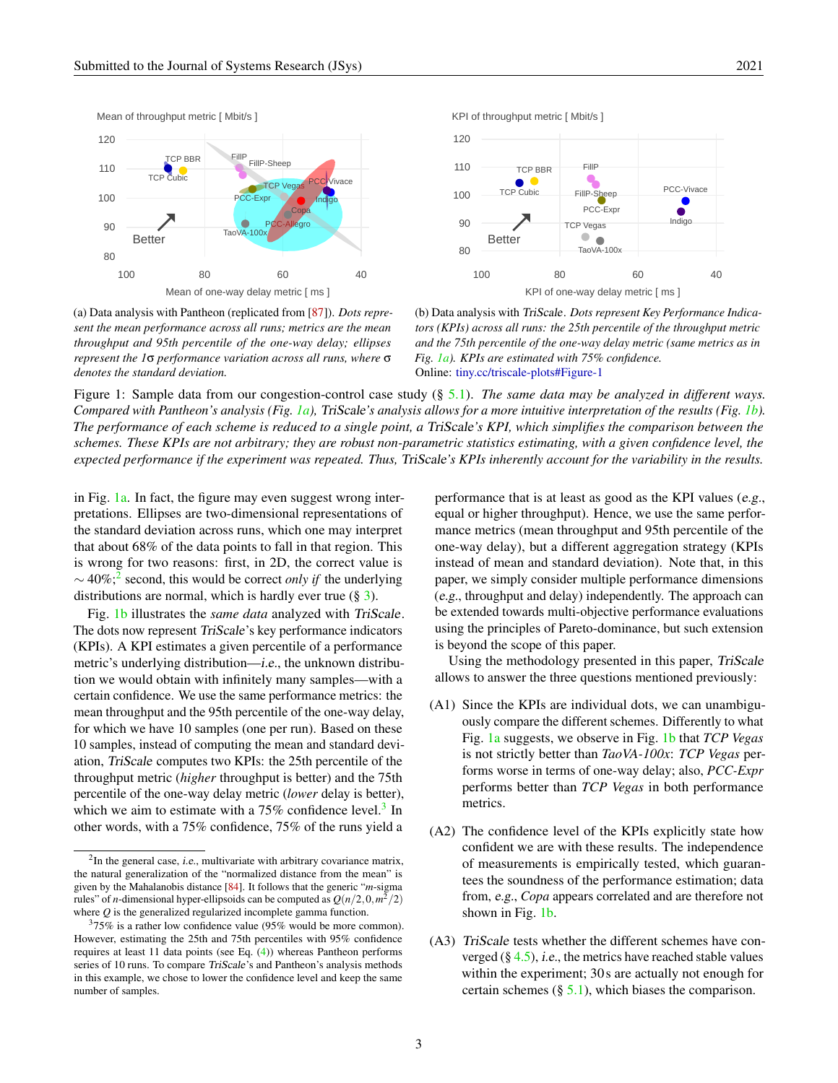<span id="page-2-0"></span>

(a) Data analysis with Pantheon (replicated from [\[87\]](#page-21-2)). *Dots represent the mean performance across all runs; metrics are the mean throughput and 95th percentile of the one-way delay; ellipses represent the 1*σ *performance variation across all runs, where* σ *denotes the standard deviation.*



(b) Data analysis with TriScale. *Dots represent Key Performance Indicators (KPIs) across all runs: the 25th percentile of the throughput metric and the 75th percentile of the one-way delay metric (same metrics as in Fig. [1a\)](#page-2-0). KPIs are estimated with 75% confidence.* Online: [tiny.cc/triscale-plots#Figure-1](http://tiny.cc/triscale-plots#Figure-1)

Figure 1: Sample data from our congestion-control case study (§ [5.1\)](#page-10-1). *The same data may be analyzed in different ways. Compared with Pantheon's analysis (Fig. [1a\)](#page-2-0),* TriScale*'s analysis allows for a more intuitive interpretation of the results (Fig. [1b\)](#page-2-0). The performance of each scheme is reduced to a single point, a* TriScale*'s KPI, which simplifies the comparison between the schemes. These KPIs are not arbitrary; they are robust non-parametric statistics estimating, with a given confidence level, the expected performance if the experiment was repeated. Thus,* TriScale*'s KPIs inherently account for the variability in the results.*

in Fig. [1a.](#page-2-0) In fact, the figure may even suggest wrong interpretations. Ellipses are two-dimensional representations of the standard deviation across runs, which one may interpret that about 68% of the data points to fall in that region. This is wrong for two reasons: first, in 2D, the correct value is ∼ 40%;[2](#page-2-1) second, this would be correct *only if* the underlying distributions are normal, which is hardly ever true (§ [3\)](#page-4-0).

Fig. [1b](#page-2-0) illustrates the *same data* analyzed with TriScale. The dots now represent TriScale's key performance indicators (KPIs). A KPI estimates a given percentile of a performance metric's underlying distribution—i.e., the unknown distribution we would obtain with infinitely many samples—with a certain confidence. We use the same performance metrics: the mean throughput and the 95th percentile of the one-way delay, for which we have 10 samples (one per run). Based on these 10 samples, instead of computing the mean and standard deviation, TriScale computes two KPIs: the 25th percentile of the throughput metric (*higher* throughput is better) and the 75th percentile of the one-way delay metric (*lower* delay is better), which we aim to estimate with a  $75\%$  confidence level.<sup>[3](#page-2-2)</sup> In other words, with a 75% confidence, 75% of the runs yield a

performance that is at least as good as the KPI values (e.g., equal or higher throughput). Hence, we use the same performance metrics (mean throughput and 95th percentile of the one-way delay), but a different aggregation strategy (KPIs instead of mean and standard deviation). Note that, in this paper, we simply consider multiple performance dimensions (e.g., throughput and delay) independently. The approach can be extended towards multi-objective performance evaluations using the principles of Pareto-dominance, but such extension is beyond the scope of this paper.

Using the methodology presented in this paper, TriScale allows to answer the three questions mentioned previously:

- (A1) Since the KPIs are individual dots, we can unambiguously compare the different schemes. Differently to what Fig. [1a](#page-2-0) suggests, we observe in Fig. [1b](#page-2-0) that *TCP Vegas* is not strictly better than *TaoVA-100x*: *TCP Vegas* performs worse in terms of one-way delay; also, *PCC-Expr* performs better than *TCP Vegas* in both performance metrics.
- (A2) The confidence level of the KPIs explicitly state how confident we are with these results. The independence of measurements is empirically tested, which guarantees the soundness of the performance estimation; data from, e.g., *Copa* appears correlated and are therefore not shown in Fig. [1b.](#page-2-0)
- (A3) TriScale tests whether the different schemes have converged  $(\S 4.5)$  $(\S 4.5)$ , *i.e.*, the metrics have reached stable values within the experiment; 30s are actually not enough for certain schemes  $(\S 5.1)$  $(\S 5.1)$ , which biases the comparison.

<span id="page-2-1"></span> ${}^{2}$ In the general case, *i.e.*, multivariate with arbitrary covariance matrix, the natural generalization of the "normalized distance from the mean" is given by the Mahalanobis distance [\[84\]](#page-21-4). It follows that the generic "*m*-sigma rules" of *n*-dimensional hyper-ellipsoids can be computed as  $Q(n/2, 0, m^2/2)$ where *Q* is the generalized regularized incomplete gamma function.

<span id="page-2-2"></span> $375\%$  is a rather low confidence value (95% would be more common). However, estimating the 25th and 75th percentiles with 95% confidence requires at least 11 data points (see Eq. [\(4\)](#page-9-0)) whereas Pantheon performs series of 10 runs. To compare TriScale's and Pantheon's analysis methods in this example, we chose to lower the confidence level and keep the same number of samples.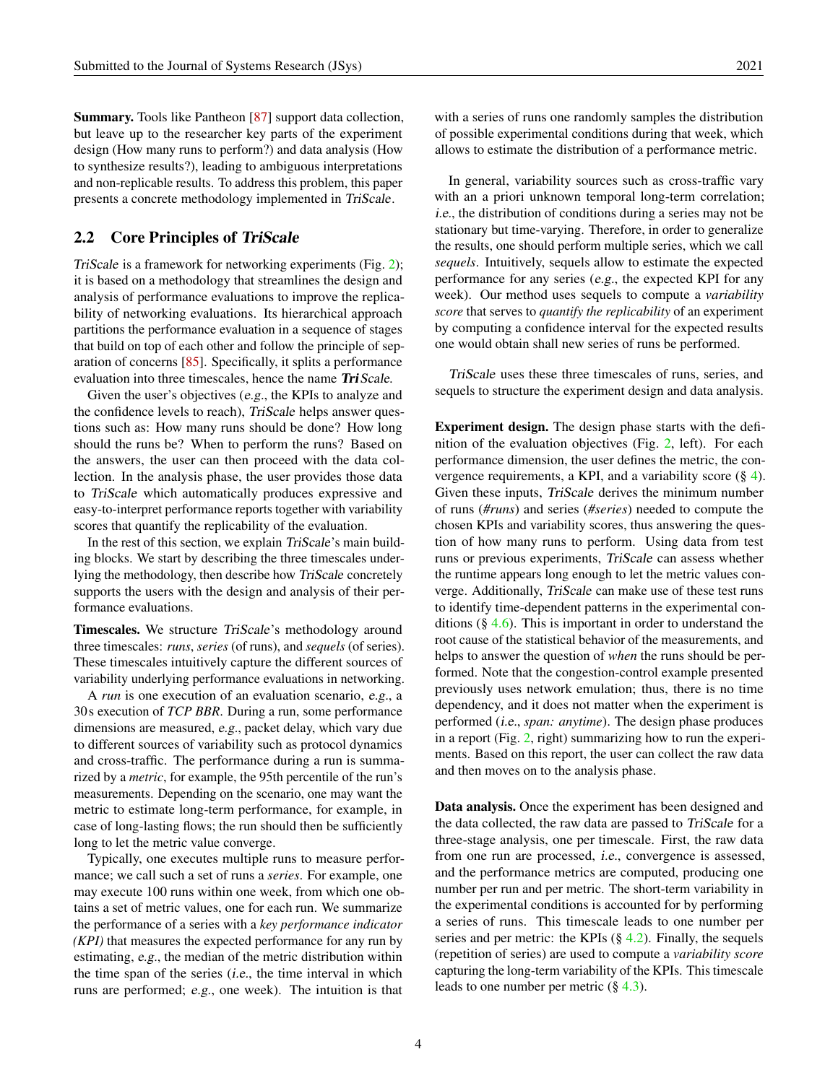Summary. Tools like Pantheon [\[87\]](#page-21-2) support data collection, but leave up to the researcher key parts of the experiment design (How many runs to perform?) and data analysis (How to synthesize results?), leading to ambiguous interpretations and non-replicable results. To address this problem, this paper presents a concrete methodology implemented in TriScale.

### <span id="page-3-0"></span>2.2 Core Principles of TriScale

TriScale is a framework for networking experiments (Fig. [2\)](#page-4-1); it is based on a methodology that streamlines the design and analysis of performance evaluations to improve the replicability of networking evaluations. Its hierarchical approach partitions the performance evaluation in a sequence of stages that build on top of each other and follow the principle of separation of concerns [\[85\]](#page-21-5). Specifically, it splits a performance evaluation into three timescales, hence the name TriScale.

Given the user's objectives (e.g., the KPIs to analyze and the confidence levels to reach), TriScale helps answer questions such as: How many runs should be done? How long should the runs be? When to perform the runs? Based on the answers, the user can then proceed with the data collection. In the analysis phase, the user provides those data to TriScale which automatically produces expressive and easy-to-interpret performance reports together with variability scores that quantify the replicability of the evaluation.

In the rest of this section, we explain TriScale's main building blocks. We start by describing the three timescales underlying the methodology, then describe how TriScale concretely supports the users with the design and analysis of their performance evaluations.

Timescales. We structure TriScale's methodology around three timescales: *runs*, *series* (of runs), and *sequels* (of series). These timescales intuitively capture the different sources of variability underlying performance evaluations in networking.

A *run* is one execution of an evaluation scenario, e.g., a 30s execution of *TCP BBR*. During a run, some performance dimensions are measured, e.g., packet delay, which vary due to different sources of variability such as protocol dynamics and cross-traffic. The performance during a run is summarized by a *metric*, for example, the 95th percentile of the run's measurements. Depending on the scenario, one may want the metric to estimate long-term performance, for example, in case of long-lasting flows; the run should then be sufficiently long to let the metric value converge.

Typically, one executes multiple runs to measure performance; we call such a set of runs a *series*. For example, one may execute 100 runs within one week, from which one obtains a set of metric values, one for each run. We summarize the performance of a series with a *key performance indicator (KPI)* that measures the expected performance for any run by estimating, e.g., the median of the metric distribution within the time span of the series (i.e., the time interval in which runs are performed; e.g., one week). The intuition is that

with a series of runs one randomly samples the distribution of possible experimental conditions during that week, which allows to estimate the distribution of a performance metric.

In general, variability sources such as cross-traffic vary with an a priori unknown temporal long-term correlation; i.e., the distribution of conditions during a series may not be stationary but time-varying. Therefore, in order to generalize the results, one should perform multiple series, which we call *sequels*. Intuitively, sequels allow to estimate the expected performance for any series (e.g., the expected KPI for any week). Our method uses sequels to compute a *variability score* that serves to *quantify the replicability* of an experiment by computing a confidence interval for the expected results one would obtain shall new series of runs be performed.

TriScale uses these three timescales of runs, series, and sequels to structure the experiment design and data analysis.

Experiment design. The design phase starts with the definition of the evaluation objectives (Fig. [2,](#page-4-1) left). For each performance dimension, the user defines the metric, the convergence requirements, a KPI, and a variability score  $(\S 4)$  $(\S 4)$ . Given these inputs, TriScale derives the minimum number of runs (*#runs*) and series (*#series*) needed to compute the chosen KPIs and variability scores, thus answering the question of how many runs to perform. Using data from test runs or previous experiments, TriScale can assess whether the runtime appears long enough to let the metric values converge. Additionally, TriScale can make use of these test runs to identify time-dependent patterns in the experimental conditions  $(\S 4.6)$  $(\S 4.6)$ . This is important in order to understand the root cause of the statistical behavior of the measurements, and helps to answer the question of *when* the runs should be performed. Note that the congestion-control example presented previously uses network emulation; thus, there is no time dependency, and it does not matter when the experiment is performed (i.e., *span: anytime*). The design phase produces in a report (Fig. [2,](#page-4-1) right) summarizing how to run the experiments. Based on this report, the user can collect the raw data and then moves on to the analysis phase.

Data analysis. Once the experiment has been designed and the data collected, the raw data are passed to TriScale for a three-stage analysis, one per timescale. First, the raw data from one run are processed, i.e., convergence is assessed, and the performance metrics are computed, producing one number per run and per metric. The short-term variability in the experimental conditions is accounted for by performing a series of runs. This timescale leads to one number per series and per metric: the KPIs  $(\S$  [4.2\)](#page-6-0). Finally, the sequels (repetition of series) are used to compute a *variability score* capturing the long-term variability of the KPIs. This timescale leads to one number per metric  $(\S 4.3)$  $(\S 4.3)$ .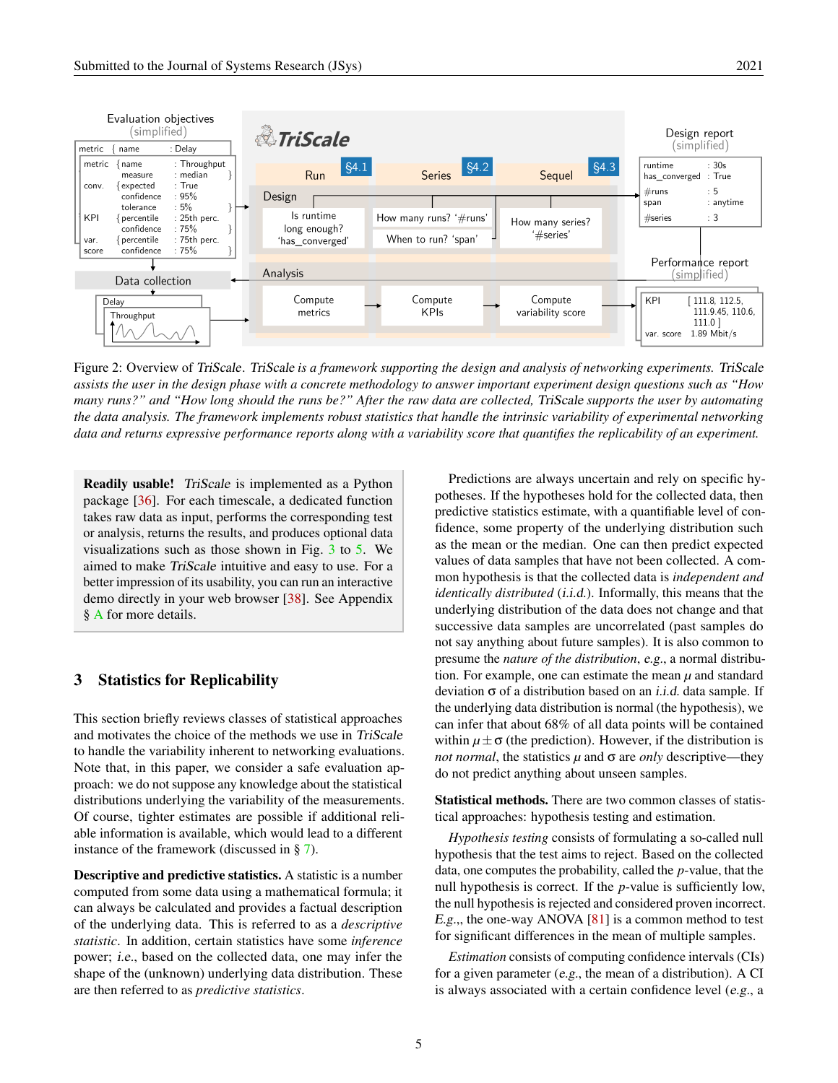<span id="page-4-1"></span>

Figure 2: Overview of TriScale. TriScale *is a framework supporting the design and analysis of networking experiments.* TriScale *assists the user in the design phase with a concrete methodology to answer important experiment design questions such as "How many runs?" and "How long should the runs be?" After the raw data are collected,* TriScale *supports the user by automating the data analysis. The framework implements robust statistics that handle the intrinsic variability of experimental networking data and returns expressive performance reports along with a variability score that quantifies the replicability of an experiment.*

Readily usable! TriScale is implemented as a Python package [\[36\]](#page-18-2). For each timescale, a dedicated function takes raw data as input, performs the corresponding test or analysis, returns the results, and produces optional data visualizations such as those shown in Fig. [3](#page-6-1) to [5.](#page-11-0) We aimed to make TriScale intuitive and easy to use. For a better impression of its usability, you can run an interactive demo directly in your web browser [\[38\]](#page-18-4). See Appendix § [A](#page-22-0) for more details.

# <span id="page-4-0"></span>3 Statistics for Replicability

This section briefly reviews classes of statistical approaches and motivates the choice of the methods we use in TriScale to handle the variability inherent to networking evaluations. Note that, in this paper, we consider a safe evaluation approach: we do not suppose any knowledge about the statistical distributions underlying the variability of the measurements. Of course, tighter estimates are possible if additional reliable information is available, which would lead to a different instance of the framework (discussed in § [7\)](#page-13-0).

Descriptive and predictive statistics. A statistic is a number computed from some data using a mathematical formula; it can always be calculated and provides a factual description of the underlying data. This is referred to as a *descriptive statistic*. In addition, certain statistics have some *inference* power; i.e., based on the collected data, one may infer the shape of the (unknown) underlying data distribution. These are then referred to as *predictive statistics*.

Predictions are always uncertain and rely on specific hypotheses. If the hypotheses hold for the collected data, then predictive statistics estimate, with a quantifiable level of confidence, some property of the underlying distribution such as the mean or the median. One can then predict expected values of data samples that have not been collected. A common hypothesis is that the collected data is *independent and identically distributed* (*i.i.d.*). Informally, this means that the underlying distribution of the data does not change and that successive data samples are uncorrelated (past samples do not say anything about future samples). It is also common to presume the *nature of the distribution*, e.g., a normal distribution. For example, one can estimate the mean  $\mu$  and standard deviation  $\sigma$  of a distribution based on an *i.i.d.* data sample. If the underlying data distribution is normal (the hypothesis), we can infer that about 68% of all data points will be contained within  $\mu \pm \sigma$  (the prediction). However, if the distribution is *not normal*, the statistics  $\mu$  and  $\sigma$  are *only* descriptive—they do not predict anything about unseen samples.

Statistical methods. There are two common classes of statistical approaches: hypothesis testing and estimation.

*Hypothesis testing* consists of formulating a so-called null hypothesis that the test aims to reject. Based on the collected data, one computes the probability, called the *p*-value, that the null hypothesis is correct. If the *p*-value is sufficiently low, the null hypothesis is rejected and considered proven incorrect. E.g.,, the one-way ANOVA  $[81]$  is a common method to test for significant differences in the mean of multiple samples.

*Estimation* consists of computing confidence intervals (CIs) for a given parameter (e.g., the mean of a distribution). A CI is always associated with a certain confidence level (e.g., a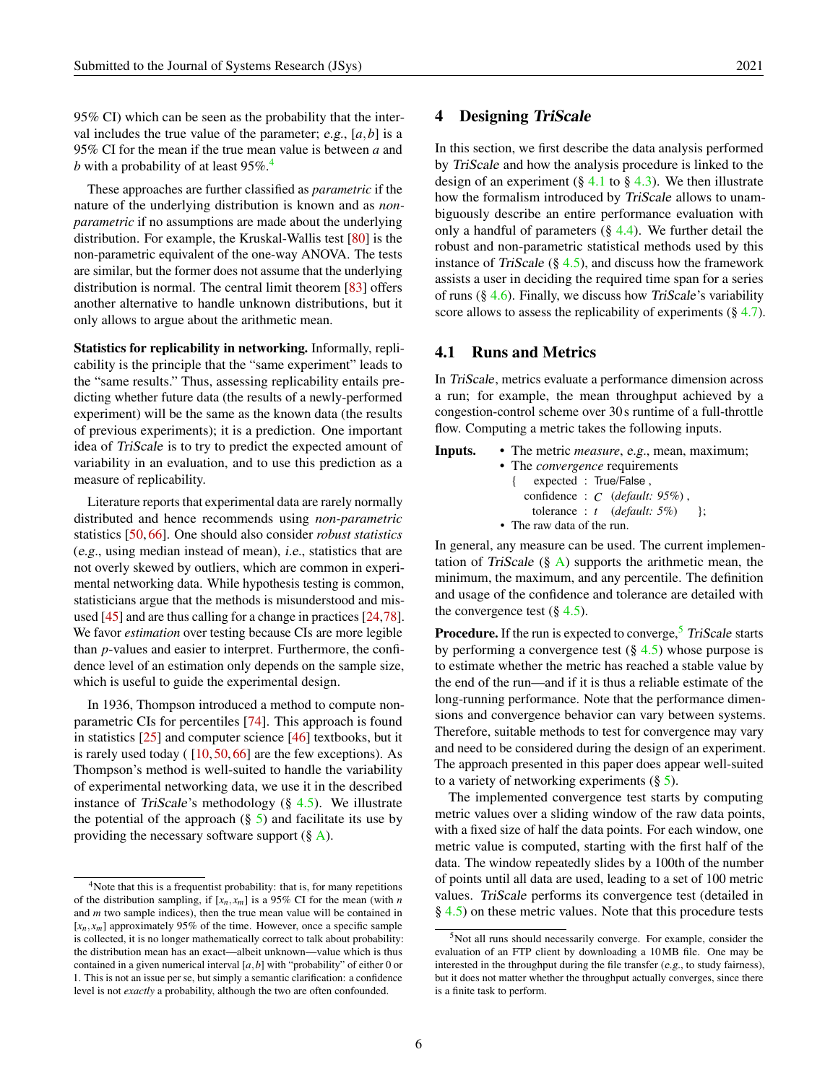95% CI) which can be seen as the probability that the interval includes the true value of the parameter; e.g., [*a*,*b*] is a 95% CI for the mean if the true mean value is between *a* and *b* with a probability of at least 95%.<sup>[4](#page-5-1)</sup>

These approaches are further classified as *parametric* if the nature of the underlying distribution is known and as *nonparametric* if no assumptions are made about the underlying distribution. For example, the Kruskal-Wallis test [\[80\]](#page-21-7) is the non-parametric equivalent of the one-way ANOVA. The tests are similar, but the former does not assume that the underlying distribution is normal. The central limit theorem [\[83\]](#page-21-8) offers another alternative to handle unknown distributions, but it only allows to argue about the arithmetic mean.

Statistics for replicability in networking. Informally, replicability is the principle that the "same experiment" leads to the "same results." Thus, assessing replicability entails predicting whether future data (the results of a newly-performed experiment) will be the same as the known data (the results of previous experiments); it is a prediction. One important idea of TriScale is to try to predict the expected amount of variability in an evaluation, and to use this prediction as a measure of replicability.

Literature reports that experimental data are rarely normally distributed and hence recommends using *non-parametric* statistics [\[50,](#page-19-3) [66\]](#page-20-3). One should also consider *robust statistics* (e.g., using median instead of mean), i.e., statistics that are not overly skewed by outliers, which are common in experimental networking data. While hypothesis testing is common, statisticians argue that the methods is misunderstood and misused [\[45\]](#page-19-6) and are thus calling for a change in practices [\[24](#page-17-2)[,78\]](#page-21-9). We favor *estimation* over testing because CIs are more legible than *p*-values and easier to interpret. Furthermore, the confidence level of an estimation only depends on the sample size, which is useful to guide the experimental design.

In 1936, Thompson introduced a method to compute nonparametric CIs for percentiles [\[74\]](#page-21-10). This approach is found in statistics [\[25\]](#page-17-3) and computer science [\[46\]](#page-19-7) textbooks, but it is rarely used today  $(10, 50, 66)$  $(10, 50, 66)$  $(10, 50, 66)$  are the few exceptions). As Thompson's method is well-suited to handle the variability of experimental networking data, we use it in the described instance of TriScale's methodology  $(\S$  [4.5\)](#page-7-0). We illustrate the potential of the approach  $(\S 5)$  $(\S 5)$  and facilitate its use by providing the necessary software support  $(\S$  [A\)](#page-22-0).

#### <span id="page-5-0"></span>4 Designing TriScale

In this section, we first describe the data analysis performed by TriScale and how the analysis procedure is linked to the design of an experiment (§ [4.1](#page-5-2) to § [4.3\)](#page-7-1). We then illustrate how the formalism introduced by *TriScale* allows to unambiguously describe an entire performance evaluation with only a handful of parameters  $(\S$  [4.4\)](#page-7-2). We further detail the robust and non-parametric statistical methods used by this instance of TriScale  $(\S$  [4.5\)](#page-7-0), and discuss how the framework assists a user in deciding the required time span for a series of runs  $(\S 4.6)$  $(\S 4.6)$ . Finally, we discuss how TriScale's variability score allows to assess the replicability of experiments  $(\S 4.7)$  $(\S 4.7)$ .

# <span id="page-5-2"></span>4.1 Runs and Metrics

In TriScale, metrics evaluate a performance dimension across a run; for example, the mean throughput achieved by a congestion-control scheme over 30s runtime of a full-throttle flow. Computing a metric takes the following inputs.

| Inputs. | • The metric <i>measure</i> , e.g., mean, maximum; |  |  |  |  |  |  |  |  |
|---------|----------------------------------------------------|--|--|--|--|--|--|--|--|
|         | • The <i>convergence</i> requirements              |  |  |  |  |  |  |  |  |
|         | { expected : True/False,                           |  |  |  |  |  |  |  |  |
|         | confidence: $C$ ( <i>default</i> : 95%),           |  |  |  |  |  |  |  |  |
|         | tolerance : t $(default: 5\%)$ :                   |  |  |  |  |  |  |  |  |
|         | • The raw data of the run.                         |  |  |  |  |  |  |  |  |

In general, any measure can be used. The current implementation of TriScale  $(\S$  [A\)](#page-22-0) supports the arithmetic mean, the minimum, the maximum, and any percentile. The definition and usage of the confidence and tolerance are detailed with the convergence test  $(\S 4.5)$  $(\S 4.5)$ .

**Procedure.** If the run is expected to converge, $\frac{5}{7}$  $\frac{5}{7}$  $\frac{5}{7}$  TriScale starts by performing a convergence test  $(\S 4.5)$  $(\S 4.5)$  whose purpose is to estimate whether the metric has reached a stable value by the end of the run—and if it is thus a reliable estimate of the long-running performance. Note that the performance dimensions and convergence behavior can vary between systems. Therefore, suitable methods to test for convergence may vary and need to be considered during the design of an experiment. The approach presented in this paper does appear well-suited to a variety of networking experiments  $(\S 5)$  $(\S 5)$ .

The implemented convergence test starts by computing metric values over a sliding window of the raw data points, with a fixed size of half the data points. For each window, one metric value is computed, starting with the first half of the data. The window repeatedly slides by a 100th of the number of points until all data are used, leading to a set of 100 metric values. TriScale performs its convergence test (detailed in § [4.5\)](#page-7-0) on these metric values. Note that this procedure tests

<span id="page-5-1"></span> $4$ Note that this is a frequentist probability: that is, for many repetitions of the distribution sampling, if  $[x_n, x_m]$  is a 95% CI for the mean (with *n* and *m* two sample indices), then the true mean value will be contained in [*xn*, *xm*] approximately 95% of the time. However, once a specific sample is collected, it is no longer mathematically correct to talk about probability: the distribution mean has an exact—albeit unknown—value which is thus contained in a given numerical interval  $[a, b]$  with "probability" of either  $0$  or 1. This is not an issue per se, but simply a semantic clarification: a confidence level is not *exactly* a probability, although the two are often confounded.

<span id="page-5-3"></span><sup>5</sup>Not all runs should necessarily converge. For example, consider the evaluation of an FTP client by downloading a 10MB file. One may be interested in the throughput during the file transfer (e.g., to study fairness), but it does not matter whether the throughput actually converges, since there is a finite task to perform.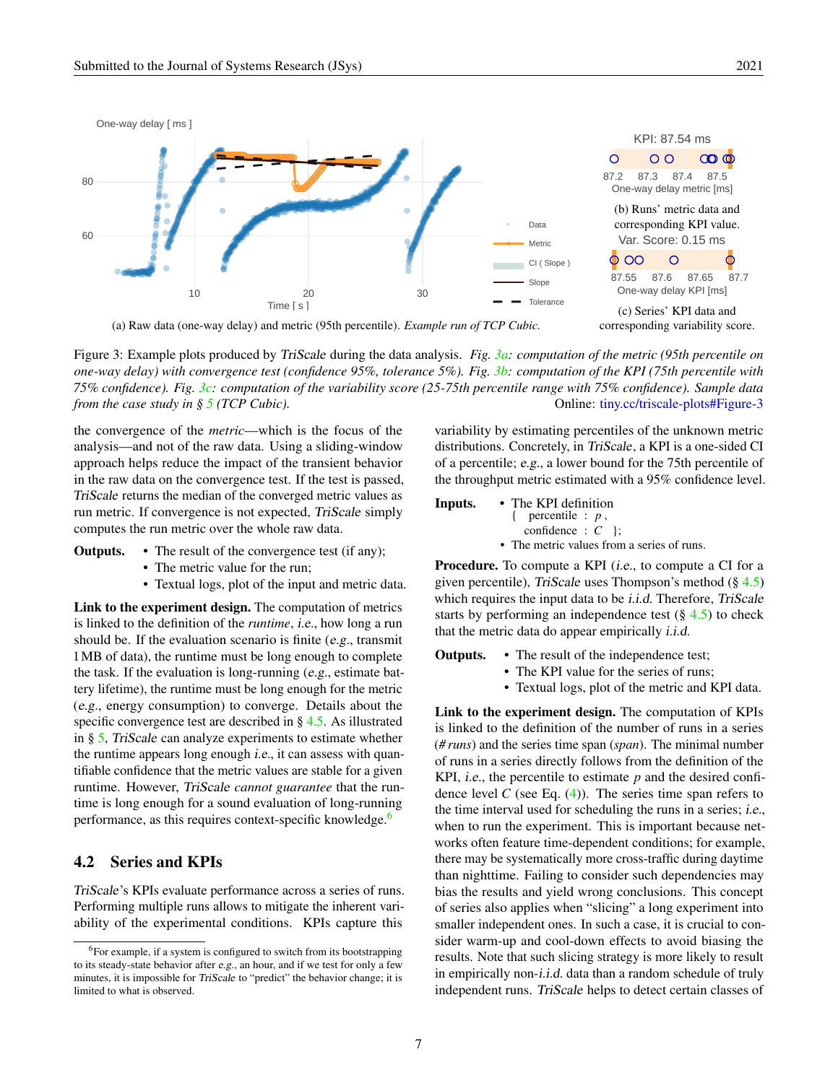<span id="page-6-1"></span>

(a) Raw data (one-way delay) and metric (95th percentile). *Example run of TCP Cubic.*

Figure 3: Example plots produced by TriScale during the data analysis. *Fig. [3a:](#page-6-1) computation of the metric (95th percentile on one-way delay) with convergence test (confidence 95%, tolerance 5%). Fig. [3b:](#page-6-1) computation of the KPI (75th percentile with 75% confidence). Fig. [3c:](#page-6-1) computation of the variability score (25-75th percentile range with 75% confidence). Sample data from the case study in § [5](#page-10-0) (TCP Cubic).* Online: [tiny.cc/triscale-plots#Figure-3](http://tiny.cc/triscale-plots#Figure-3)

the convergence of the *metric*—which is the focus of the analysis—and not of the raw data. Using a sliding-window approach helps reduce the impact of the transient behavior in the raw data on the convergence test. If the test is passed, TriScale returns the median of the converged metric values as run metric. If convergence is not expected, TriScale simply computes the run metric over the whole raw data.

- Outputs. The result of the convergence test (if any);
	- The metric value for the run;
	- Textual logs, plot of the input and metric data.

Link to the experiment design. The computation of metrics is linked to the definition of the *runtime*, i.e., how long a run should be. If the evaluation scenario is finite (e.g., transmit 1MB of data), the runtime must be long enough to complete the task. If the evaluation is long-running (e.g., estimate battery lifetime), the runtime must be long enough for the metric (e.g., energy consumption) to converge. Details about the specific convergence test are described in § [4.5.](#page-7-0) As illustrated in § [5,](#page-10-0) TriScale can analyze experiments to estimate whether the runtime appears long enough i.e., it can assess with quantifiable confidence that the metric values are stable for a given runtime. However, TriScale *cannot guarantee* that the runtime is long enough for a sound evaluation of long-running performance, as this requires context-specific knowledge.<sup>[6](#page-6-2)</sup>

# <span id="page-6-0"></span>4.2 Series and KPIs

TriScale's KPIs evaluate performance across a series of runs. Performing multiple runs allows to mitigate the inherent variability of the experimental conditions. KPIs capture this

variability by estimating percentiles of the unknown metric distributions. Concretely, in TriScale, a KPI is a one-sided CI of a percentile; e.g., a lower bound for the 75th percentile of the throughput metric estimated with a 95% confidence level.

Inputs. • The KPI definition { percentile : *p* , confidence : *C* }; • The metric values from a series of runs.

**Procedure.** To compute a KPI *(i.e., to compute a CI for a* given percentile), TriScale uses Thompson's method  $(\S 4.5)$  $(\S 4.5)$ which requires the input data to be *i.i.d.* Therefore, *TriScale* starts by performing an independence test  $(\S$  [4.5\)](#page-7-0) to check that the metric data do appear empirically i.i.d.

Outputs. • The result of the independence test;

- The KPI value for the series of runs;
- Textual logs, plot of the metric and KPI data.

Link to the experiment design. The computation of KPIs is linked to the definition of the number of runs in a series (*# runs*) and the series time span (*span*). The minimal number of runs in a series directly follows from the definition of the KPI, *i.e.*, the percentile to estimate  $p$  and the desired confidence level  $C$  (see Eq.  $(4)$ ). The series time span refers to the time interval used for scheduling the runs in a series; i.e., when to run the experiment. This is important because networks often feature time-dependent conditions; for example, there may be systematically more cross-traffic during daytime than nighttime. Failing to consider such dependencies may bias the results and yield wrong conclusions. This concept of series also applies when "slicing" a long experiment into smaller independent ones. In such a case, it is crucial to consider warm-up and cool-down effects to avoid biasing the results. Note that such slicing strategy is more likely to result in empirically non-i.i.d. data than a random schedule of truly independent runs. TriScale helps to detect certain classes of

<span id="page-6-2"></span><sup>&</sup>lt;sup>6</sup>For example, if a system is configured to switch from its bootstrapping to its steady-state behavior after e.g., an hour, and if we test for only a few minutes, it is impossible for TriScale to "predict" the behavior change; it is limited to what is observed.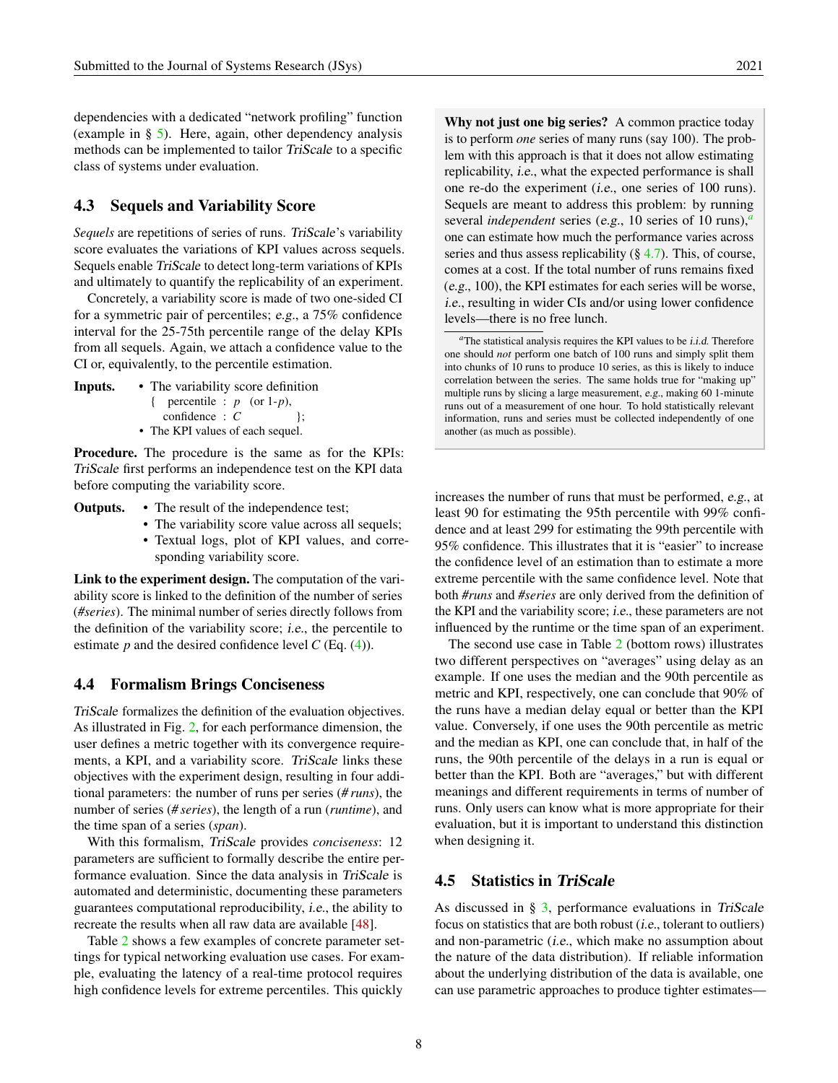dependencies with a dedicated "network profiling" function (example in § [5\)](#page-10-0). Here, again, other dependency analysis methods can be implemented to tailor TriScale to a specific class of systems under evaluation.

# <span id="page-7-1"></span>4.3 Sequels and Variability Score

*Sequels* are repetitions of series of runs. TriScale's variability score evaluates the variations of KPI values across sequels. Sequels enable TriScale to detect long-term variations of KPIs and ultimately to quantify the replicability of an experiment.

Concretely, a variability score is made of two one-sided CI for a symmetric pair of percentiles; e.g., a 75% confidence interval for the 25-75th percentile range of the delay KPIs from all sequels. Again, we attach a confidence value to the CI or, equivalently, to the percentile estimation.

Inputs. • The variability score definition

{ percentile : *p* (or 1-*p*),  $confidence : C$  }; • The KPI values of each sequel.

Procedure. The procedure is the same as for the KPIs: TriScale first performs an independence test on the KPI data before computing the variability score.

- Outputs. The result of the independence test;
	- The variability score value across all sequels;
	- Textual logs, plot of KPI values, and corresponding variability score.

Link to the experiment design. The computation of the variability score is linked to the definition of the number of series (*#series*). The minimal number of series directly follows from the definition of the variability score; i.e., the percentile to estimate  $p$  and the desired confidence level  $C$  (Eq. [\(4\)](#page-9-0)).

### <span id="page-7-2"></span>4.4 Formalism Brings Conciseness

TriScale formalizes the definition of the evaluation objectives. As illustrated in Fig. [2,](#page-4-1) for each performance dimension, the user defines a metric together with its convergence requirements, a KPI, and a variability score. TriScale links these objectives with the experiment design, resulting in four additional parameters: the number of runs per series (*# runs*), the number of series (*# series*), the length of a run (*runtime*), and the time span of a series (*span*).

With this formalism, TriScale provides *conciseness*: 12 parameters are sufficient to formally describe the entire performance evaluation. Since the data analysis in TriScale is automated and deterministic, documenting these parameters guarantees computational reproducibility, i.e., the ability to recreate the results when all raw data are available [\[48\]](#page-19-8).

Table [2](#page-8-0) shows a few examples of concrete parameter settings for typical networking evaluation use cases. For example, evaluating the latency of a real-time protocol requires high confidence levels for extreme percentiles. This quickly

Why not just one big series? A common practice today is to perform *one* series of many runs (say 100). The problem with this approach is that it does not allow estimating replicability, i.e., what the expected performance is shall one re-do the experiment (i.e., one series of 100 runs). Sequels are meant to address this problem: by running several *independent* series (e.g., 10 series of 10 runs),*[a](#page-7-3)* one can estimate how much the performance varies across series and thus assess replicability  $(\S 4.7)$  $(\S 4.7)$ . This, of course, comes at a cost. If the total number of runs remains fixed (e.g., 100), the KPI estimates for each series will be worse, i.e., resulting in wider CIs and/or using lower confidence levels—there is no free lunch.

increases the number of runs that must be performed, e.g., at least 90 for estimating the 95th percentile with 99% confidence and at least 299 for estimating the 99th percentile with 95% confidence. This illustrates that it is "easier" to increase the confidence level of an estimation than to estimate a more extreme percentile with the same confidence level. Note that both *#runs* and *#series* are only derived from the definition of the KPI and the variability score; i.e., these parameters are not influenced by the runtime or the time span of an experiment.

The second use case in Table [2](#page-8-0) (bottom rows) illustrates two different perspectives on "averages" using delay as an example. If one uses the median and the 90th percentile as metric and KPI, respectively, one can conclude that 90% of the runs have a median delay equal or better than the KPI value. Conversely, if one uses the 90th percentile as metric and the median as KPI, one can conclude that, in half of the runs, the 90th percentile of the delays in a run is equal or better than the KPI. Both are "averages," but with different meanings and different requirements in terms of number of runs. Only users can know what is more appropriate for their evaluation, but it is important to understand this distinction when designing it.

#### <span id="page-7-0"></span>4.5 Statistics in TriScale

As discussed in § [3,](#page-4-0) performance evaluations in TriScale focus on statistics that are both robust (i.e., tolerant to outliers) and non-parametric (i.e., which make no assumption about the nature of the data distribution). If reliable information about the underlying distribution of the data is available, one can use parametric approaches to produce tighter estimates—

<span id="page-7-3"></span>*<sup>a</sup>*The statistical analysis requires the KPI values to be i.i.d. Therefore one should *not* perform one batch of 100 runs and simply split them into chunks of 10 runs to produce 10 series, as this is likely to induce correlation between the series. The same holds true for "making up" multiple runs by slicing a large measurement, e.g., making 60 1-minute runs out of a measurement of one hour. To hold statistically relevant information, runs and series must be collected independently of one another (as much as possible).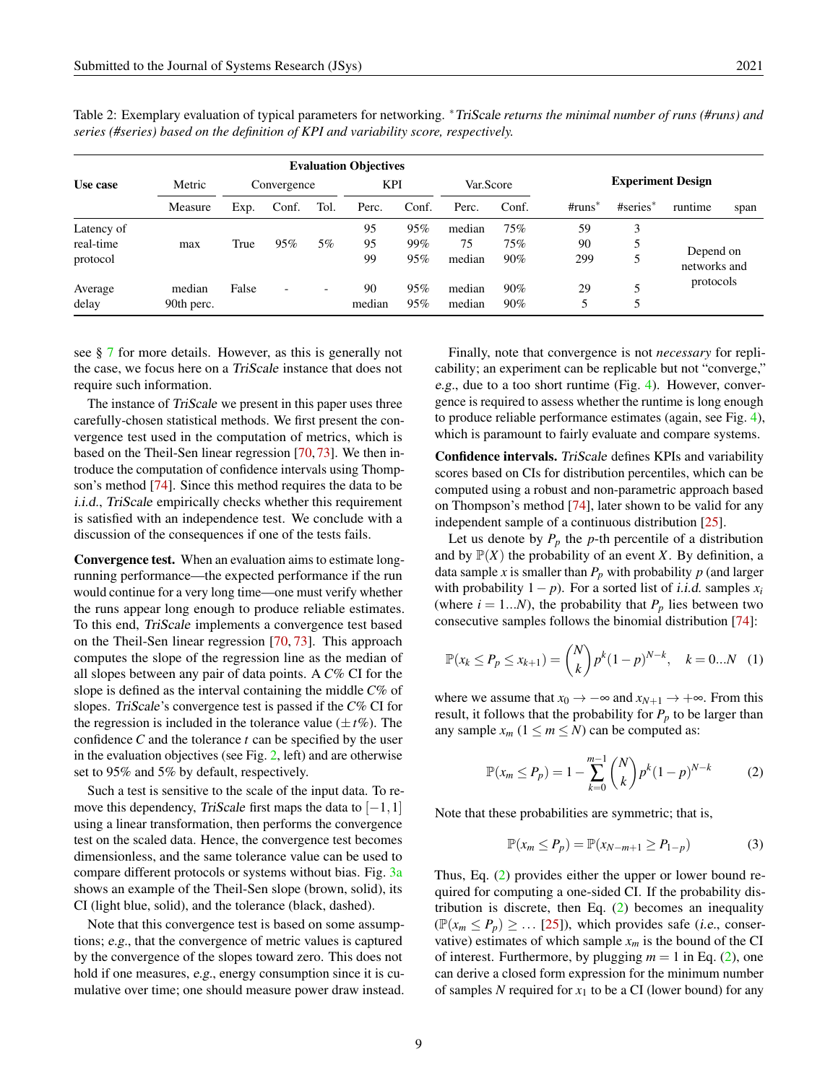|            |            | <b>Evaluation Objectives</b> |                          |                          |            |       |           |        |          |                          |                           |      |
|------------|------------|------------------------------|--------------------------|--------------------------|------------|-------|-----------|--------|----------|--------------------------|---------------------------|------|
| Use case   | Metric     |                              | Convergence              |                          | <b>KPI</b> |       | Var.Score |        |          | <b>Experiment Design</b> |                           |      |
|            | Measure    | Exp.                         | Conf.                    | Tol.                     | Perc.      | Conf. | Perc.     | Conf.  | $#runs*$ | $#series*$               | runtime                   | span |
| Latency of |            |                              |                          |                          | 95         | 95%   | median    | 75%    | 59       |                          |                           |      |
| real-time  | max        | True                         | 95%                      | $5\%$                    | 95         | 99%   | 75        | 75%    | 90       |                          |                           |      |
| protocol   |            |                              |                          |                          | 99         | 95%   | median    | 90%    | 299      |                          | Depend on<br>networks and |      |
| Average    | median     | False                        | $\overline{\phantom{0}}$ | $\overline{\phantom{0}}$ | 90         | 95%   | median    | $90\%$ | 29       |                          | protocols                 |      |
| delay      | 90th perc. |                              |                          |                          | median     | 95%   | median    | 90%    |          |                          |                           |      |

<span id="page-8-0"></span>Table 2: Exemplary evaluation of typical parameters for networking. <sup>∗</sup>TriScale *returns the minimal number of runs (#runs) and series (#series) based on the definition of KPI and variability score, respectively.*

see § [7](#page-13-0) for more details. However, as this is generally not the case, we focus here on a TriScale instance that does not require such information.

The instance of TriScale we present in this paper uses three carefully-chosen statistical methods. We first present the convergence test used in the computation of metrics, which is based on the Theil-Sen linear regression [\[70,](#page-20-4) [73\]](#page-20-5). We then introduce the computation of confidence intervals using Thompson's method [\[74\]](#page-21-10). Since this method requires the data to be i.i.d., TriScale empirically checks whether this requirement is satisfied with an independence test. We conclude with a discussion of the consequences if one of the tests fails.

Convergence test. When an evaluation aims to estimate longrunning performance—the expected performance if the run would continue for a very long time—one must verify whether the runs appear long enough to produce reliable estimates. To this end, TriScale implements a convergence test based on the Theil-Sen linear regression [\[70,](#page-20-4) [73\]](#page-20-5). This approach computes the slope of the regression line as the median of all slopes between any pair of data points. A *C*% CI for the slope is defined as the interval containing the middle *C*% of slopes. TriScale's convergence test is passed if the *C*% CI for the regression is included in the tolerance value  $(\pm t\%)$ . The confidence *C* and the tolerance *t* can be specified by the user in the evaluation objectives (see Fig. [2,](#page-4-1) left) and are otherwise set to 95% and 5% by default, respectively.

Such a test is sensitive to the scale of the input data. To remove this dependency, TriScale first maps the data to  $[-1,1]$ using a linear transformation, then performs the convergence test on the scaled data. Hence, the convergence test becomes dimensionless, and the same tolerance value can be used to compare different protocols or systems without bias. Fig. [3a](#page-6-1) shows an example of the Theil-Sen slope (brown, solid), its CI (light blue, solid), and the tolerance (black, dashed).

Note that this convergence test is based on some assumptions; e.g., that the convergence of metric values is captured by the convergence of the slopes toward zero. This does not hold if one measures, e.g., energy consumption since it is cumulative over time; one should measure power draw instead.

Finally, note that convergence is not *necessary* for replicability; an experiment can be replicable but not "converge," e.g., due to a too short runtime (Fig. [4\)](#page-10-2). However, convergence is required to assess whether the runtime is long enough to produce reliable performance estimates (again, see Fig. [4\)](#page-10-2), which is paramount to fairly evaluate and compare systems.

Confidence intervals. TriScale defines KPIs and variability scores based on CIs for distribution percentiles, which can be computed using a robust and non-parametric approach based on Thompson's method [\[74\]](#page-21-10), later shown to be valid for any independent sample of a continuous distribution [\[25\]](#page-17-3).

Let us denote by  $P_p$  the  $p$ -th percentile of a distribution and by  $P(X)$  the probability of an event *X*. By definition, a data sample *x* is smaller than  $P_p$  with probability  $p$  (and larger with probability  $1 - p$ ). For a sorted list of *i.i.d.* samples  $x_i$ (where  $i = 1...N$ ), the probability that  $P_p$  lies between two consecutive samples follows the binomial distribution [\[74\]](#page-21-10):

$$
\mathbb{P}(x_k \le P_p \le x_{k+1}) = \binom{N}{k} p^k (1-p)^{N-k}, \quad k = 0...N \quad (1)
$$

where we assume that  $x_0 \to -\infty$  and  $x_{N+1} \to +\infty$ . From this result, it follows that the probability for  $P_p$  to be larger than any sample  $x_m$  ( $1 \le m \le N$ ) can be computed as:

<span id="page-8-1"></span>
$$
\mathbb{P}(x_m \le P_p) = 1 - \sum_{k=0}^{m-1} {N \choose k} p^k (1-p)^{N-k} \tag{2}
$$

Note that these probabilities are symmetric; that is,

<span id="page-8-2"></span>
$$
\mathbb{P}(x_m \le P_p) = \mathbb{P}(x_{N-m+1} \ge P_{1-p})\tag{3}
$$

Thus, Eq. [\(2\)](#page-8-1) provides either the upper or lower bound required for computing a one-sided CI. If the probability distribution is discrete, then Eq.  $(2)$  becomes an inequality  $(\mathbb{P}(x_m \le P_p) \ge \dots$  [\[25\]](#page-17-3)), which provides safe (*i.e.*, conservative) estimates of which sample  $x_m$  is the bound of the CI of interest. Furthermore, by plugging  $m = 1$  in Eq. [\(2\)](#page-8-1), one can derive a closed form expression for the minimum number of samples N required for  $x_1$  to be a CI (lower bound) for any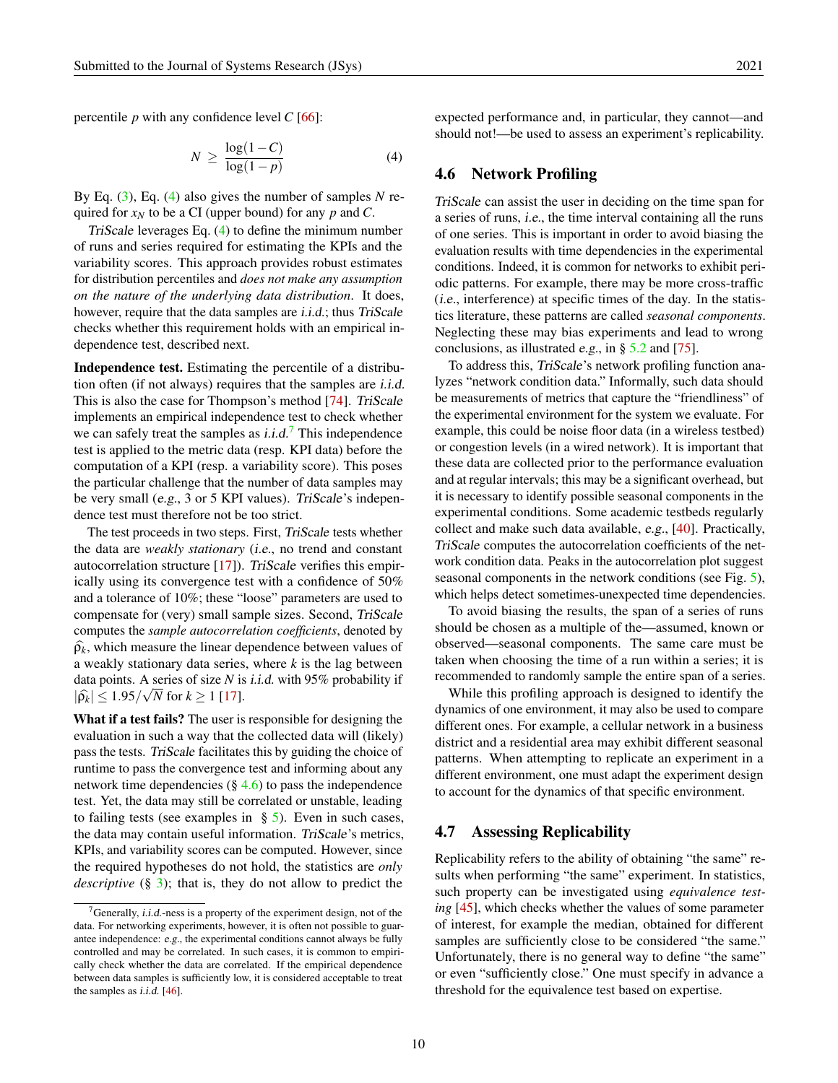percentile *p* with any confidence level *C* [\[66\]](#page-20-3):

$$
N \ge \frac{\log(1 - C)}{\log(1 - p)}\tag{4}
$$

By Eq. [\(3\)](#page-8-2), Eq. [\(4\)](#page-9-0) also gives the number of samples *N* required for *x<sup>N</sup>* to be a CI (upper bound) for any *p* and *C*.

TriScale leverages Eq. [\(4\)](#page-9-0) to define the minimum number of runs and series required for estimating the KPIs and the variability scores. This approach provides robust estimates for distribution percentiles and *does not make any assumption on the nature of the underlying data distribution*. It does, however, require that the data samples are *i.i.d.*; thus *TriScale* checks whether this requirement holds with an empirical independence test, described next.

Independence test. Estimating the percentile of a distribution often (if not always) requires that the samples are i.i.d. This is also the case for Thompson's method [\[74\]](#page-21-10). TriScale implements an empirical independence test to check whether we can safely treat the samples as *i.i.d.'* This independence test is applied to the metric data (resp. KPI data) before the computation of a KPI (resp. a variability score). This poses the particular challenge that the number of data samples may be very small (e.g., 3 or 5 KPI values). TriScale's independence test must therefore not be too strict.

The test proceeds in two steps. First, TriScale tests whether the data are *weakly stationary* (i.e., no trend and constant autocorrelation structure  $[17]$ ). TriScale verifies this empirically using its convergence test with a confidence of 50% and a tolerance of 10%; these "loose" parameters are used to compensate for (very) small sample sizes. Second, TriScale computes the *sample autocorrelation coefficients*, denoted by  $\widehat{\rho}_k$ , which measure the linear dependence between values of a weakly stationary data series, where *k* is the lag between data points. A series of size *N* is *i.i.d.* with 95% probability if  $|\widehat{\rho_k}| \leq 1.95/\sqrt{N}$  for  $k \geq 1$  [\[17\]](#page-17-4).

What if a test fails? The user is responsible for designing the evaluation in such a way that the collected data will (likely) pass the tests. TriScale facilitates this by guiding the choice of runtime to pass the convergence test and informing about any network time dependencies  $(\S 4.6)$  $(\S 4.6)$  to pass the independence test. Yet, the data may still be correlated or unstable, leading to failing tests (see examples in  $\S$  [5\)](#page-10-0). Even in such cases, the data may contain useful information. TriScale's metrics, KPIs, and variability scores can be computed. However, since the required hypotheses do not hold, the statistics are *only descriptive* (§ [3\)](#page-4-0); that is, they do not allow to predict the

<span id="page-9-0"></span>expected performance and, in particular, they cannot—and should not!—be used to assess an experiment's replicability.

#### <span id="page-9-1"></span>4.6 Network Profiling

TriScale can assist the user in deciding on the time span for a series of runs, i.e., the time interval containing all the runs of one series. This is important in order to avoid biasing the evaluation results with time dependencies in the experimental conditions. Indeed, it is common for networks to exhibit periodic patterns. For example, there may be more cross-traffic (i.e., interference) at specific times of the day. In the statistics literature, these patterns are called *seasonal components*. Neglecting these may bias experiments and lead to wrong conclusions, as illustrated e.g., in  $\S 5.2$  $\S 5.2$  and [\[75\]](#page-21-3).

To address this, TriScale's network profiling function analyzes "network condition data." Informally, such data should be measurements of metrics that capture the "friendliness" of the experimental environment for the system we evaluate. For example, this could be noise floor data (in a wireless testbed) or congestion levels (in a wired network). It is important that these data are collected prior to the performance evaluation and at regular intervals; this may be a significant overhead, but it is necessary to identify possible seasonal components in the experimental conditions. Some academic testbeds regularly collect and make such data available, e.g., [\[40\]](#page-18-5). Practically, TriScale computes the autocorrelation coefficients of the network condition data. Peaks in the autocorrelation plot suggest seasonal components in the network conditions (see Fig. [5\)](#page-11-0), which helps detect sometimes-unexpected time dependencies.

To avoid biasing the results, the span of a series of runs should be chosen as a multiple of the—assumed, known or observed—seasonal components. The same care must be taken when choosing the time of a run within a series; it is recommended to randomly sample the entire span of a series.

While this profiling approach is designed to identify the dynamics of one environment, it may also be used to compare different ones. For example, a cellular network in a business district and a residential area may exhibit different seasonal patterns. When attempting to replicate an experiment in a different environment, one must adapt the experiment design to account for the dynamics of that specific environment.

#### <span id="page-9-2"></span>4.7 Assessing Replicability

Replicability refers to the ability of obtaining "the same" results when performing "the same" experiment. In statistics, such property can be investigated using *equivalence testing* [\[45\]](#page-19-6), which checks whether the values of some parameter of interest, for example the median, obtained for different samples are sufficiently close to be considered "the same." Unfortunately, there is no general way to define "the same" or even "sufficiently close." One must specify in advance a threshold for the equivalence test based on expertise.

<span id="page-9-3"></span> $7$ Generally, *i.i.d.*-ness is a property of the experiment design, not of the data. For networking experiments, however, it is often not possible to guarantee independence: e.g., the experimental conditions cannot always be fully controlled and may be correlated. In such cases, it is common to empirically check whether the data are correlated. If the empirical dependence between data samples is sufficiently low, it is considered acceptable to treat the samples as *i.i.d.* [\[46\]](#page-19-7).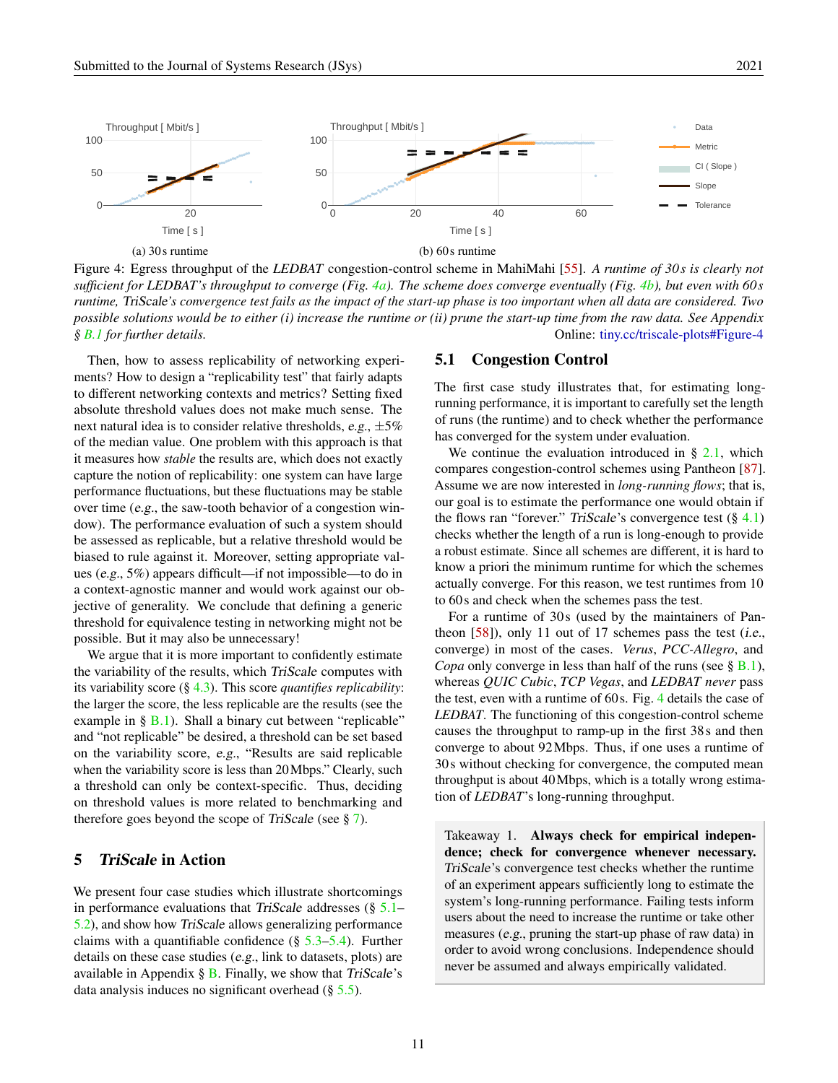<span id="page-10-2"></span>

Figure 4: Egress throughput of the *LEDBAT* congestion-control scheme in MahiMahi [\[55\]](#page-19-5). *A runtime of 30s is clearly not sufficient for LEDBAT's throughput to converge (Fig. [4a\)](#page-10-2). The scheme does converge eventually (Fig. [4b\)](#page-10-2), but even with 60s runtime,* TriScale*'s convergence test fails as the impact of the start-up phase is too important when all data are considered. Two possible solutions would be to either (i) increase the runtime or (ii) prune the start-up time from the raw data. See Appendix § [B.1](#page-22-1) for further details.* Online: [tiny.cc/triscale-plots#Figure-4](http://tiny.cc/triscale-plots#Figure-4)

Then, how to assess replicability of networking experiments? How to design a "replicability test" that fairly adapts to different networking contexts and metrics? Setting fixed absolute threshold values does not make much sense. The next natural idea is to consider relative thresholds, e.g.,  $\pm 5\%$ of the median value. One problem with this approach is that it measures how *stable* the results are, which does not exactly capture the notion of replicability: one system can have large performance fluctuations, but these fluctuations may be stable over time (e.g., the saw-tooth behavior of a congestion window). The performance evaluation of such a system should be assessed as replicable, but a relative threshold would be biased to rule against it. Moreover, setting appropriate values (e.g., 5%) appears difficult—if not impossible—to do in a context-agnostic manner and would work against our objective of generality. We conclude that defining a generic threshold for equivalence testing in networking might not be possible. But it may also be unnecessary!

We argue that it is more important to confidently estimate the variability of the results, which TriScale computes with its variability score (§ [4.3\)](#page-7-1). This score *quantifies replicability*: the larger the score, the less replicable are the results (see the example in  $\S$  [B.1\)](#page-22-1). Shall a binary cut between "replicable" and "not replicable" be desired, a threshold can be set based on the variability score, e.g., "Results are said replicable when the variability score is less than 20 Mbps." Clearly, such a threshold can only be context-specific. Thus, deciding on threshold values is more related to benchmarking and therefore goes beyond the scope of TriScale (see § [7\)](#page-13-0).

# <span id="page-10-0"></span>5 TriScale in Action

We present four case studies which illustrate shortcomings in performance evaluations that TriScale addresses (§ [5.1–](#page-10-1) [5.2\)](#page-11-1), and show how TriScale allows generalizing performance claims with a quantifiable confidence  $(\S 5.3-5.4)$  $(\S 5.3-5.4)$  $(\S 5.3-5.4)$ . Further details on these case studies (e.g., link to datasets, plots) are available in Appendix  $\S$  [B.](#page-22-2) Finally, we show that TriScale's data analysis induces no significant overhead  $(\S 5.5)$  $(\S 5.5)$ .

# <span id="page-10-1"></span>5.1 Congestion Control

The first case study illustrates that, for estimating longrunning performance, it is important to carefully set the length of runs (the runtime) and to check whether the performance has converged for the system under evaluation.

We continue the evaluation introduced in  $\S$  [2.1,](#page-1-1) which compares congestion-control schemes using Pantheon [\[87\]](#page-21-2). Assume we are now interested in *long-running flows*; that is, our goal is to estimate the performance one would obtain if the flows ran "forever." TriScale's convergence test  $(\S$  [4.1\)](#page-5-2) checks whether the length of a run is long-enough to provide a robust estimate. Since all schemes are different, it is hard to know a priori the minimum runtime for which the schemes actually converge. For this reason, we test runtimes from 10 to 60s and check when the schemes pass the test.

For a runtime of 30s (used by the maintainers of Pantheon  $[58]$ ), only 11 out of 17 schemes pass the test (*i.e.*, converge) in most of the cases. *Verus*, *PCC-Allegro*, and *Copa* only converge in less than half of the runs (see § [B.1\)](#page-22-1), whereas *QUIC Cubic*, *TCP Vegas*, and *LEDBAT never* pass the test, even with a runtime of 60s. Fig. [4](#page-10-2) details the case of *LEDBAT*. The functioning of this congestion-control scheme causes the throughput to ramp-up in the first 38s and then converge to about 92Mbps. Thus, if one uses a runtime of 30s without checking for convergence, the computed mean throughput is about 40Mbps, which is a totally wrong estimation of *LEDBAT*'s long-running throughput.

Takeaway 1. Always check for empirical independence; check for convergence whenever necessary. TriScale's convergence test checks whether the runtime of an experiment appears sufficiently long to estimate the system's long-running performance. Failing tests inform users about the need to increase the runtime or take other measures (e.g., pruning the start-up phase of raw data) in order to avoid wrong conclusions. Independence should never be assumed and always empirically validated.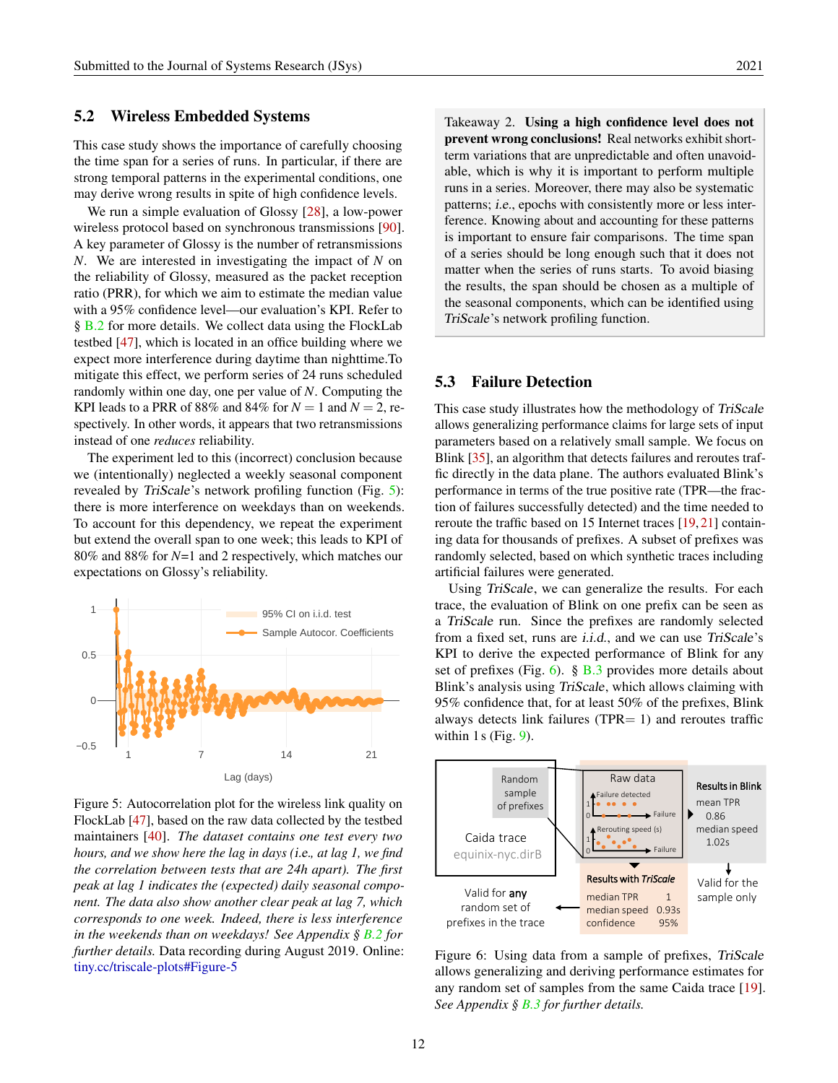#### <span id="page-11-1"></span>5.2 Wireless Embedded Systems

This case study shows the importance of carefully choosing the time span for a series of runs. In particular, if there are strong temporal patterns in the experimental conditions, one may derive wrong results in spite of high confidence levels.

We run a simple evaluation of Glossy [\[28\]](#page-17-5), a low-power wireless protocol based on synchronous transmissions [\[90\]](#page-22-3). A key parameter of Glossy is the number of retransmissions *N*. We are interested in investigating the impact of *N* on the reliability of Glossy, measured as the packet reception ratio (PRR), for which we aim to estimate the median value with a 95% confidence level—our evaluation's KPI. Refer to § [B.2](#page-22-4) for more details. We collect data using the FlockLab testbed [\[47\]](#page-19-9), which is located in an office building where we expect more interference during daytime than nighttime.To mitigate this effect, we perform series of 24 runs scheduled randomly within one day, one per value of *N*. Computing the KPI leads to a PRR of 88% and 84% for  $N = 1$  and  $N = 2$ , respectively. In other words, it appears that two retransmissions instead of one *reduces* reliability.

The experiment led to this (incorrect) conclusion because we (intentionally) neglected a weekly seasonal component revealed by TriScale's network profiling function (Fig. [5\)](#page-11-0): there is more interference on weekdays than on weekends. To account for this dependency, we repeat the experiment but extend the overall span to one week; this leads to KPI of 80% and 88% for *N*=1 and 2 respectively, which matches our expectations on Glossy's reliability.

<span id="page-11-0"></span>

Figure 5: Autocorrelation plot for the wireless link quality on FlockLab [\[47\]](#page-19-9), based on the raw data collected by the testbed maintainers [\[40\]](#page-18-5). *The dataset contains one test every two hours, and we show here the lag in days (*i.e.*, at lag 1, we find the correlation between tests that are 24h apart). The first peak at lag 1 indicates the (expected) daily seasonal component. The data also show another clear peak at lag 7, which corresponds to one week. Indeed, there is less interference in the weekends than on weekdays! See Appendix § [B.2](#page-22-4) for further details.* Data recording during August 2019. Online: [tiny.cc/triscale-plots#Figure-5](http://tiny.cc/triscale-plots#Figure-5)

Takeaway 2. Using a high confidence level does not prevent wrong conclusions! Real networks exhibit shortterm variations that are unpredictable and often unavoidable, which is why it is important to perform multiple runs in a series. Moreover, there may also be systematic patterns; i.e., epochs with consistently more or less interference. Knowing about and accounting for these patterns is important to ensure fair comparisons. The time span of a series should be long enough such that it does not matter when the series of runs starts. To avoid biasing the results, the span should be chosen as a multiple of the seasonal components, which can be identified using TriScale's network profiling function.

# <span id="page-11-2"></span>5.3 Failure Detection

This case study illustrates how the methodology of TriScale allows generalizing performance claims for large sets of input parameters based on a relatively small sample. We focus on Blink [\[35\]](#page-18-6), an algorithm that detects failures and reroutes traffic directly in the data plane. The authors evaluated Blink's performance in terms of the true positive rate (TPR—the fraction of failures successfully detected) and the time needed to reroute the traffic based on 15 Internet traces [\[19,](#page-17-6) [21\]](#page-17-7) containing data for thousands of prefixes. A subset of prefixes was randomly selected, based on which synthetic traces including artificial failures were generated.

Using TriScale, we can generalize the results. For each trace, the evaluation of Blink on one prefix can be seen as a TriScale run. Since the prefixes are randomly selected from a fixed set, runs are i.i.d., and we can use TriScale's KPI to derive the expected performance of Blink for any set of prefixes (Fig. [6\)](#page-11-3). §  $\overline{B.3}$  $\overline{B.3}$  $\overline{B.3}$  provides more details about Blink's analysis using TriScale, which allows claiming with 95% confidence that, for at least 50% of the prefixes, Blink always detects link failures (TPR= 1) and reroutes traffic within 1 s (Fig.  $9$ ).

<span id="page-11-3"></span>

Figure 6: Using data from a sample of prefixes, TriScale allows generalizing and deriving performance estimates for any random set of samples from the same Caida trace [\[19\]](#page-17-6). *See Appendix § [B.3](#page-23-0) for further details.*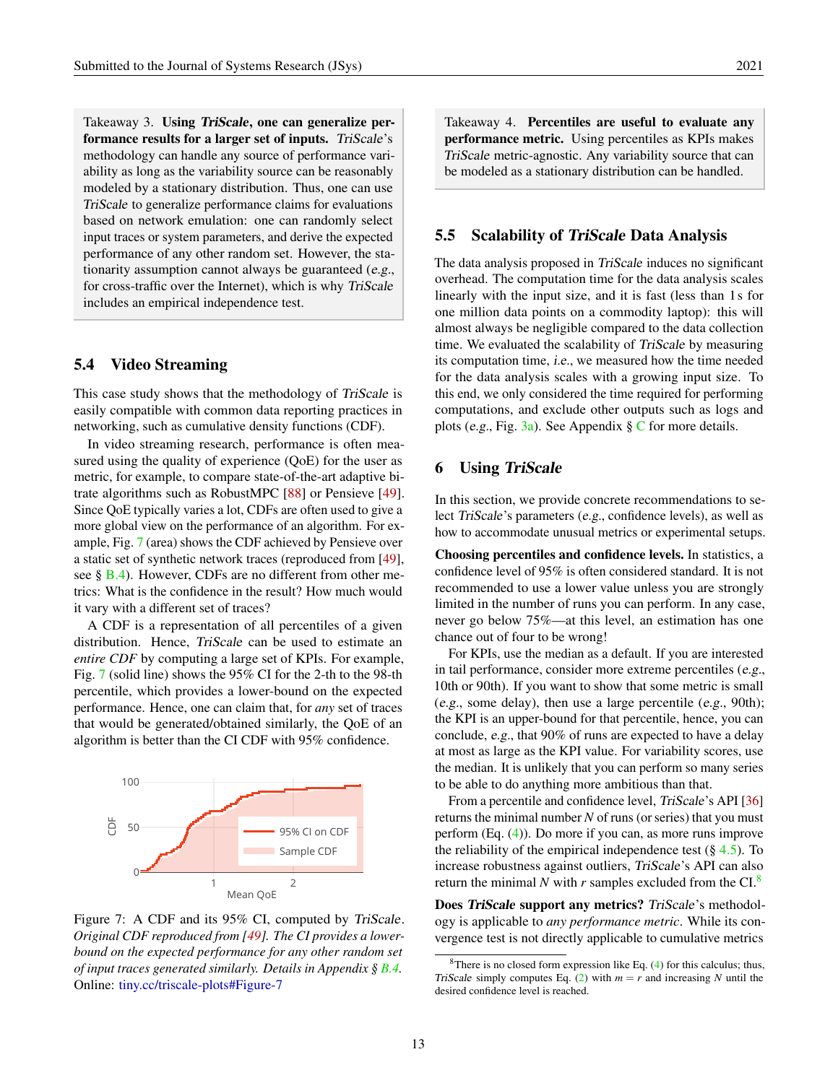Takeaway 3. Using TriScale, one can generalize performance results for a larger set of inputs. TriScale's methodology can handle any source of performance variability as long as the variability source can be reasonably modeled by a stationary distribution. Thus, one can use TriScale to generalize performance claims for evaluations based on network emulation: one can randomly select input traces or system parameters, and derive the expected performance of any other random set. However, the stationarity assumption cannot always be guaranteed (e.g., for cross-traffic over the Internet), which is why TriScale includes an empirical independence test.

# <span id="page-12-1"></span>5.4 Video Streaming

This case study shows that the methodology of TriScale is easily compatible with common data reporting practices in networking, such as cumulative density functions (CDF).

In video streaming research, performance is often measured using the quality of experience (QoE) for the user as metric, for example, to compare state-of-the-art adaptive bitrate algorithms such as RobustMPC [\[88\]](#page-21-11) or Pensieve [\[49\]](#page-19-10). Since QoE typically varies a lot, CDFs are often used to give a more global view on the performance of an algorithm. For example, Fig. [7](#page-12-3) (area) shows the CDF achieved by Pensieve over a static set of synthetic network traces (reproduced from [\[49\]](#page-19-10), see § [B.4\)](#page-24-0). However, CDFs are no different from other metrics: What is the confidence in the result? How much would it vary with a different set of traces?

A CDF is a representation of all percentiles of a given distribution. Hence, TriScale can be used to estimate an *entire CDF* by computing a large set of KPIs. For example, Fig. [7](#page-12-3) (solid line) shows the 95% CI for the 2-th to the 98-th percentile, which provides a lower-bound on the expected performance. Hence, one can claim that, for *any* set of traces that would be generated/obtained similarly, the QoE of an algorithm is better than the CI CDF with 95% confidence.

<span id="page-12-3"></span>

Figure 7: A CDF and its 95% CI, computed by TriScale. *Original CDF reproduced from [\[49\]](#page-19-10). The CI provides a lowerbound on the expected performance for any other random set of input traces generated similarly. Details in Appendix § [B.4.](#page-24-0)* Online: [tiny.cc/triscale-plots#Figure-7](http://tiny.cc/triscale-plots#Figure-7)

Takeaway 4. Percentiles are useful to evaluate any performance metric. Using percentiles as KPIs makes TriScale metric-agnostic. Any variability source that can be modeled as a stationary distribution can be handled.

### <span id="page-12-2"></span>5.5 Scalability of TriScale Data Analysis

The data analysis proposed in TriScale induces no significant overhead. The computation time for the data analysis scales linearly with the input size, and it is fast (less than 1s for one million data points on a commodity laptop): this will almost always be negligible compared to the data collection time. We evaluated the scalability of TriScale by measuring its computation time, i.e., we measured how the time needed for the data analysis scales with a growing input size. To this end, we only considered the time required for performing computations, and exclude other outputs such as logs and plots (e.g., Fig. [3a\)](#page-6-1). See Appendix  $\S$  [C](#page-24-1) for more details.

#### <span id="page-12-0"></span>6 Using TriScale

In this section, we provide concrete recommendations to select TriScale's parameters (e.g., confidence levels), as well as how to accommodate unusual metrics or experimental setups.

Choosing percentiles and confidence levels. In statistics, a confidence level of 95% is often considered standard. It is not recommended to use a lower value unless you are strongly limited in the number of runs you can perform. In any case, never go below 75%—at this level, an estimation has one chance out of four to be wrong!

For KPIs, use the median as a default. If you are interested in tail performance, consider more extreme percentiles (e.g., 10th or 90th). If you want to show that some metric is small (e.g., some delay), then use a large percentile (e.g., 90th); the KPI is an upper-bound for that percentile, hence, you can conclude, e.g., that 90% of runs are expected to have a delay at most as large as the KPI value. For variability scores, use the median. It is unlikely that you can perform so many series to be able to do anything more ambitious than that.

From a percentile and confidence level, TriScale's API [\[36\]](#page-18-2) returns the minimal number *N* of runs (or series) that you must perform (Eq. [\(4\)](#page-9-0)). Do more if you can, as more runs improve the reliability of the empirical independence test  $(\S 4.5)$  $(\S 4.5)$ . To increase robustness against outliers, TriScale's API can also return the minimal N with  $r$  samples excluded from the CI. $^8$  $^8$ 

Does TriScale support any metrics? TriScale's methodology is applicable to *any performance metric*. While its convergence test is not directly applicable to cumulative metrics

<span id="page-12-4"></span> $8$ There is no closed form expression like Eq. [\(4\)](#page-9-0) for this calculus; thus, TriScale simply computes Eq. [\(2\)](#page-8-1) with  $m = r$  and increasing N until the desired confidence level is reached.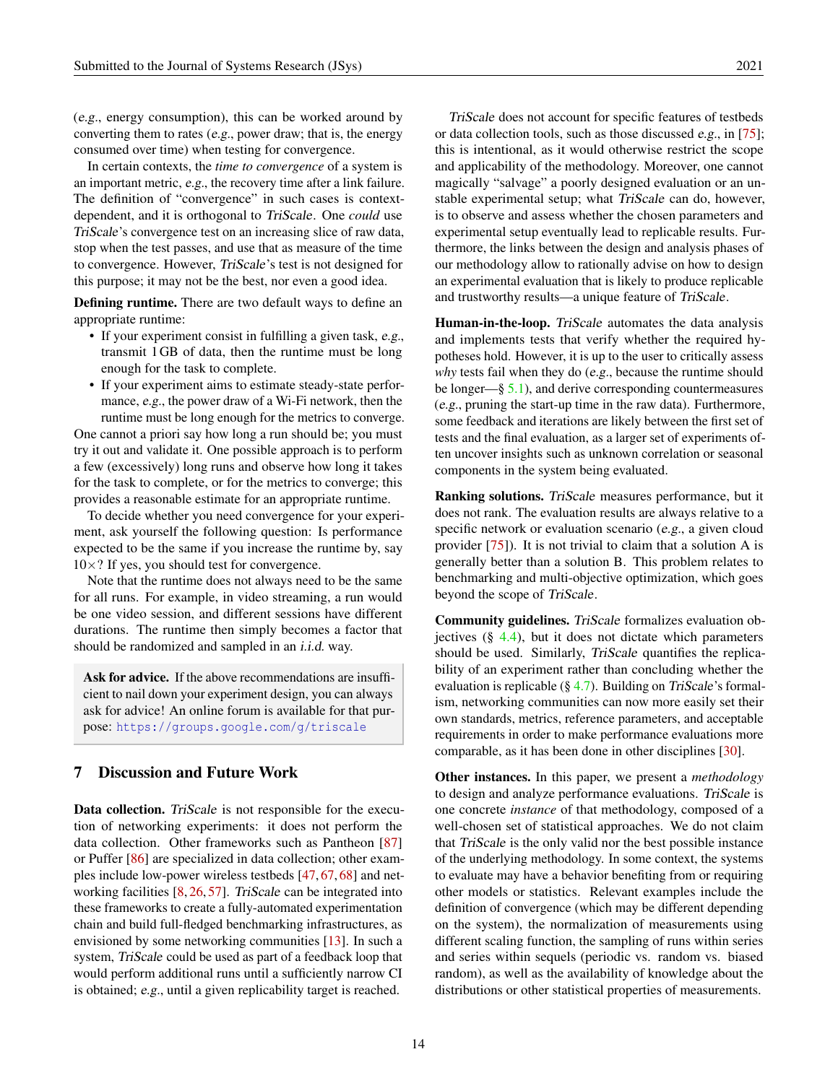(e.g., energy consumption), this can be worked around by converting them to rates (e.g., power draw; that is, the energy consumed over time) when testing for convergence.

In certain contexts, the *time to convergence* of a system is an important metric, e.g., the recovery time after a link failure. The definition of "convergence" in such cases is contextdependent, and it is orthogonal to TriScale. One *could* use TriScale's convergence test on an increasing slice of raw data, stop when the test passes, and use that as measure of the time to convergence. However, TriScale's test is not designed for this purpose; it may not be the best, nor even a good idea.

Defining runtime. There are two default ways to define an appropriate runtime:

- If your experiment consist in fulfilling a given task, e.g., transmit 1GB of data, then the runtime must be long enough for the task to complete.
- If your experiment aims to estimate steady-state performance, e.g., the power draw of a Wi-Fi network, then the runtime must be long enough for the metrics to converge.

One cannot a priori say how long a run should be; you must try it out and validate it. One possible approach is to perform a few (excessively) long runs and observe how long it takes for the task to complete, or for the metrics to converge; this provides a reasonable estimate for an appropriate runtime.

To decide whether you need convergence for your experiment, ask yourself the following question: Is performance expected to be the same if you increase the runtime by, say  $10\times$ ? If yes, you should test for convergence.

Note that the runtime does not always need to be the same for all runs. For example, in video streaming, a run would be one video session, and different sessions have different durations. The runtime then simply becomes a factor that should be randomized and sampled in an *i.i.d.* way.

Ask for advice. If the above recommendations are insufficient to nail down your experiment design, you can always ask for advice! An online forum is available for that purpose: <https://groups.google.com/g/triscale>

## <span id="page-13-0"></span>7 Discussion and Future Work

Data collection. TriScale is not responsible for the execution of networking experiments: it does not perform the data collection. Other frameworks such as Pantheon [\[87\]](#page-21-2) or Puffer [\[86\]](#page-21-1) are specialized in data collection; other examples include low-power wireless testbeds [\[47,](#page-19-9) [67,](#page-20-7) [68\]](#page-20-8) and net-working facilities [\[8,](#page-16-6) [26,](#page-17-8) [57\]](#page-19-2). TriScale can be integrated into these frameworks to create a fully-automated experimentation chain and build full-fledged benchmarking infrastructures, as envisioned by some networking communities [\[13\]](#page-16-4). In such a system, TriScale could be used as part of a feedback loop that would perform additional runs until a sufficiently narrow CI is obtained; e.g., until a given replicability target is reached.

TriScale does not account for specific features of testbeds or data collection tools, such as those discussed e.g., in [\[75\]](#page-21-3); this is intentional, as it would otherwise restrict the scope and applicability of the methodology. Moreover, one cannot magically "salvage" a poorly designed evaluation or an unstable experimental setup; what TriScale can do, however, is to observe and assess whether the chosen parameters and experimental setup eventually lead to replicable results. Furthermore, the links between the design and analysis phases of our methodology allow to rationally advise on how to design an experimental evaluation that is likely to produce replicable and trustworthy results—a unique feature of TriScale.

Human-in-the-loop. TriScale automates the data analysis and implements tests that verify whether the required hypotheses hold. However, it is up to the user to critically assess *why* tests fail when they do (e.g., because the runtime should be longer—§  $5.1$ ), and derive corresponding countermeasures (e.g., pruning the start-up time in the raw data). Furthermore, some feedback and iterations are likely between the first set of tests and the final evaluation, as a larger set of experiments often uncover insights such as unknown correlation or seasonal components in the system being evaluated.

Ranking solutions. TriScale measures performance, but it does not rank. The evaluation results are always relative to a specific network or evaluation scenario (e.g., a given cloud provider [\[75\]](#page-21-3)). It is not trivial to claim that a solution A is generally better than a solution B. This problem relates to benchmarking and multi-objective optimization, which goes beyond the scope of TriScale.

Community guidelines. TriScale formalizes evaluation objectives  $(\S$  [4.4\)](#page-7-2), but it does not dictate which parameters should be used. Similarly, TriScale quantifies the replicability of an experiment rather than concluding whether the evaluation is replicable ( $\S$  [4.7\)](#page-9-2). Building on TriScale's formalism, networking communities can now more easily set their own standards, metrics, reference parameters, and acceptable requirements in order to make performance evaluations more comparable, as it has been done in other disciplines [\[30\]](#page-18-7).

Other instances. In this paper, we present a *methodology* to design and analyze performance evaluations. TriScale is one concrete *instance* of that methodology, composed of a well-chosen set of statistical approaches. We do not claim that TriScale is the only valid nor the best possible instance of the underlying methodology. In some context, the systems to evaluate may have a behavior benefiting from or requiring other models or statistics. Relevant examples include the definition of convergence (which may be different depending on the system), the normalization of measurements using different scaling function, the sampling of runs within series and series within sequels (periodic vs. random vs. biased random), as well as the availability of knowledge about the distributions or other statistical properties of measurements.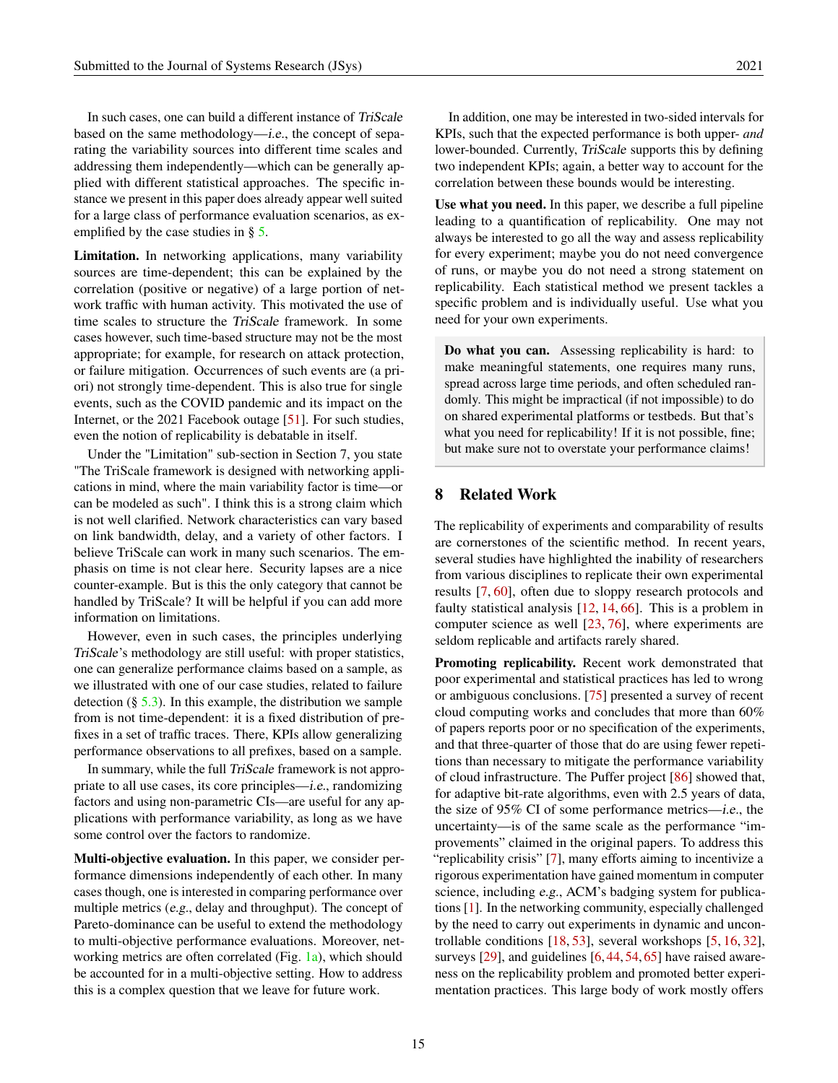In such cases, one can build a different instance of TriScale based on the same methodology—i.e., the concept of separating the variability sources into different time scales and addressing them independently—which can be generally applied with different statistical approaches. The specific instance we present in this paper does already appear well suited for a large class of performance evaluation scenarios, as exemplified by the case studies in § [5.](#page-10-0)

Limitation. In networking applications, many variability sources are time-dependent; this can be explained by the correlation (positive or negative) of a large portion of network traffic with human activity. This motivated the use of time scales to structure the TriScale framework. In some cases however, such time-based structure may not be the most appropriate; for example, for research on attack protection, or failure mitigation. Occurrences of such events are (a priori) not strongly time-dependent. This is also true for single events, such as the COVID pandemic and its impact on the Internet, or the 2021 Facebook outage [\[51\]](#page-19-11). For such studies, even the notion of replicability is debatable in itself.

Under the "Limitation" sub-section in Section 7, you state "The TriScale framework is designed with networking applications in mind, where the main variability factor is time—or can be modeled as such". I think this is a strong claim which is not well clarified. Network characteristics can vary based on link bandwidth, delay, and a variety of other factors. I believe TriScale can work in many such scenarios. The emphasis on time is not clear here. Security lapses are a nice counter-example. But is this the only category that cannot be handled by TriScale? It will be helpful if you can add more information on limitations.

However, even in such cases, the principles underlying TriScale's methodology are still useful: with proper statistics, one can generalize performance claims based on a sample, as we illustrated with one of our case studies, related to failure detection  $(\S 5.3)$  $(\S 5.3)$ . In this example, the distribution we sample from is not time-dependent: it is a fixed distribution of prefixes in a set of traffic traces. There, KPIs allow generalizing performance observations to all prefixes, based on a sample.

In summary, while the full TriScale framework is not appropriate to all use cases, its core principles—i.e., randomizing factors and using non-parametric CIs—are useful for any applications with performance variability, as long as we have some control over the factors to randomize.

Multi-objective evaluation. In this paper, we consider performance dimensions independently of each other. In many cases though, one is interested in comparing performance over multiple metrics (e.g., delay and throughput). The concept of Pareto-dominance can be useful to extend the methodology to multi-objective performance evaluations. Moreover, networking metrics are often correlated (Fig. [1a\)](#page-2-0), which should be accounted for in a multi-objective setting. How to address this is a complex question that we leave for future work.

In addition, one may be interested in two-sided intervals for KPIs, such that the expected performance is both upper- *and* lower-bounded. Currently, TriScale supports this by defining two independent KPIs; again, a better way to account for the correlation between these bounds would be interesting.

Use what you need. In this paper, we describe a full pipeline leading to a quantification of replicability. One may not always be interested to go all the way and assess replicability for every experiment; maybe you do not need convergence of runs, or maybe you do not need a strong statement on replicability. Each statistical method we present tackles a specific problem and is individually useful. Use what you need for your own experiments.

Do what you can. Assessing replicability is hard: to make meaningful statements, one requires many runs, spread across large time periods, and often scheduled randomly. This might be impractical (if not impossible) to do on shared experimental platforms or testbeds. But that's what you need for replicability! If it is not possible, fine; but make sure not to overstate your performance claims!

# 8 Related Work

The replicability of experiments and comparability of results are cornerstones of the scientific method. In recent years, several studies have highlighted the inability of researchers from various disciplines to replicate their own experimental results [\[7,](#page-16-7) [60\]](#page-20-9), often due to sloppy research protocols and faulty statistical analysis [\[12,](#page-16-3) [14,](#page-17-9) [66\]](#page-20-3). This is a problem in computer science as well [\[23,](#page-17-0) [76\]](#page-21-0), where experiments are seldom replicable and artifacts rarely shared.

Promoting replicability. Recent work demonstrated that poor experimental and statistical practices has led to wrong or ambiguous conclusions. [\[75\]](#page-21-3) presented a survey of recent cloud computing works and concludes that more than 60% of papers reports poor or no specification of the experiments, and that three-quarter of those that do are using fewer repetitions than necessary to mitigate the performance variability of cloud infrastructure. The Puffer project [\[86\]](#page-21-1) showed that, for adaptive bit-rate algorithms, even with 2.5 years of data, the size of 95% CI of some performance metrics—i.e., the uncertainty—is of the same scale as the performance "improvements" claimed in the original papers. To address this "replicability crisis" [\[7\]](#page-16-7), many efforts aiming to incentivize a rigorous experimentation have gained momentum in computer science, including e.g., ACM's badging system for publications [\[1\]](#page-16-1). In the networking community, especially challenged by the need to carry out experiments in dynamic and uncontrollable conditions [\[18,](#page-17-1) [53\]](#page-19-1), several workshops [\[5,](#page-16-8) [16,](#page-17-10) [32\]](#page-18-8), surveys [\[29\]](#page-18-0), and guidelines [\[6,](#page-16-2) [44,](#page-19-0) [54,](#page-19-4) [65\]](#page-20-2) have raised awareness on the replicability problem and promoted better experimentation practices. This large body of work mostly offers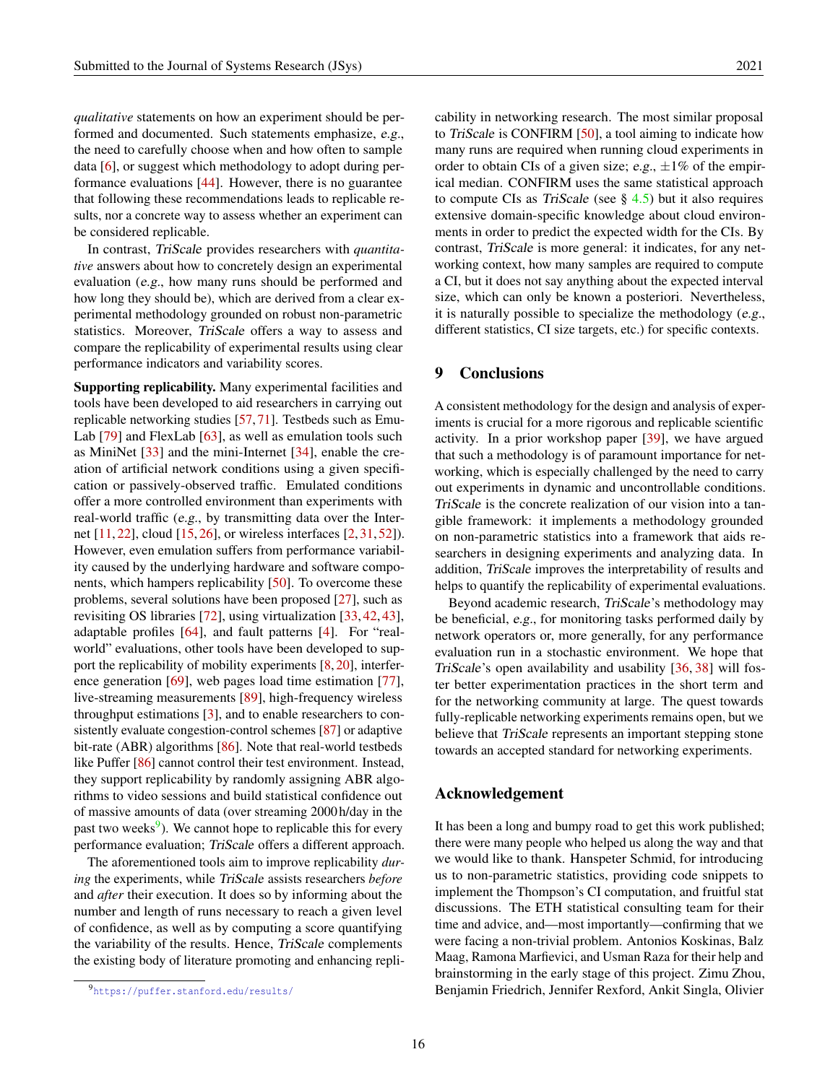*qualitative* statements on how an experiment should be performed and documented. Such statements emphasize, e.g., the need to carefully choose when and how often to sample data [\[6\]](#page-16-2), or suggest which methodology to adopt during performance evaluations [\[44\]](#page-19-0). However, there is no guarantee that following these recommendations leads to replicable results, nor a concrete way to assess whether an experiment can be considered replicable.

In contrast, TriScale provides researchers with *quantitative* answers about how to concretely design an experimental evaluation (e.g., how many runs should be performed and how long they should be), which are derived from a clear experimental methodology grounded on robust non-parametric statistics. Moreover, TriScale offers a way to assess and compare the replicability of experimental results using clear performance indicators and variability scores.

Supporting replicability. Many experimental facilities and tools have been developed to aid researchers in carrying out replicable networking studies [\[57,](#page-19-2) [71\]](#page-20-10). Testbeds such as Emu-Lab [\[79\]](#page-21-12) and FlexLab [\[63\]](#page-20-11), as well as emulation tools such as MiniNet [\[33\]](#page-18-9) and the mini-Internet [\[34\]](#page-18-10), enable the creation of artificial network conditions using a given specification or passively-observed traffic. Emulated conditions offer a more controlled environment than experiments with real-world traffic (e.g., by transmitting data over the Internet [\[11,](#page-16-9) [22\]](#page-17-11), cloud [\[15,](#page-17-12) [26\]](#page-17-8), or wireless interfaces [\[2,](#page-16-10) [31,](#page-18-11) [52\]](#page-19-12)). However, even emulation suffers from performance variability caused by the underlying hardware and software components, which hampers replicability [\[50\]](#page-19-3). To overcome these problems, several solutions have been proposed [\[27\]](#page-17-13), such as revisiting OS libraries [\[72\]](#page-20-12), using virtualization [\[33,](#page-18-9) [42,](#page-18-12) [43\]](#page-18-13), adaptable profiles [\[64\]](#page-20-13), and fault patterns [\[4\]](#page-16-11). For "realworld" evaluations, other tools have been developed to support the replicability of mobility experiments [\[8,](#page-16-6) [20\]](#page-17-14), interference generation [\[69\]](#page-20-14), web pages load time estimation [\[77\]](#page-21-13), live-streaming measurements [\[89\]](#page-21-14), high-frequency wireless throughput estimations [\[3\]](#page-16-12), and to enable researchers to consistently evaluate congestion-control schemes [\[87\]](#page-21-2) or adaptive bit-rate (ABR) algorithms [\[86\]](#page-21-1). Note that real-world testbeds like Puffer [\[86\]](#page-21-1) cannot control their test environment. Instead, they support replicability by randomly assigning ABR algorithms to video sessions and build statistical confidence out of massive amounts of data (over streaming 2000h/day in the past two weeks<sup>[9](#page-15-0)</sup>). We cannot hope to replicable this for every performance evaluation; TriScale offers a different approach.

The aforementioned tools aim to improve replicability *during* the experiments, while TriScale assists researchers *before* and *after* their execution. It does so by informing about the number and length of runs necessary to reach a given level of confidence, as well as by computing a score quantifying the variability of the results. Hence, TriScale complements the existing body of literature promoting and enhancing replicability in networking research. The most similar proposal to TriScale is CONFIRM [\[50\]](#page-19-3), a tool aiming to indicate how many runs are required when running cloud experiments in order to obtain CIs of a given size; e.g.,  $\pm 1\%$  of the empirical median. CONFIRM uses the same statistical approach to compute CIs as TriScale (see  $\S$  [4.5\)](#page-7-0) but it also requires extensive domain-specific knowledge about cloud environments in order to predict the expected width for the CIs. By contrast, TriScale is more general: it indicates, for any networking context, how many samples are required to compute a CI, but it does not say anything about the expected interval size, which can only be known a posteriori. Nevertheless, it is naturally possible to specialize the methodology (e.g., different statistics, CI size targets, etc.) for specific contexts.

# 9 Conclusions

A consistent methodology for the design and analysis of experiments is crucial for a more rigorous and replicable scientific activity. In a prior workshop paper [\[39\]](#page-18-1), we have argued that such a methodology is of paramount importance for networking, which is especially challenged by the need to carry out experiments in dynamic and uncontrollable conditions. TriScale is the concrete realization of our vision into a tangible framework: it implements a methodology grounded on non-parametric statistics into a framework that aids researchers in designing experiments and analyzing data. In addition, TriScale improves the interpretability of results and helps to quantify the replicability of experimental evaluations.

Beyond academic research, TriScale's methodology may be beneficial, e.g., for monitoring tasks performed daily by network operators or, more generally, for any performance evaluation run in a stochastic environment. We hope that TriScale's open availability and usability [\[36,](#page-18-2) [38\]](#page-18-4) will foster better experimentation practices in the short term and for the networking community at large. The quest towards fully-replicable networking experiments remains open, but we believe that *TriScale* represents an important stepping stone towards an accepted standard for networking experiments.

#### Acknowledgement

It has been a long and bumpy road to get this work published; there were many people who helped us along the way and that we would like to thank. Hanspeter Schmid, for introducing us to non-parametric statistics, providing code snippets to implement the Thompson's CI computation, and fruitful stat discussions. The ETH statistical consulting team for their time and advice, and—most importantly—confirming that we were facing a non-trivial problem. Antonios Koskinas, Balz Maag, Ramona Marfievici, and Usman Raza for their help and brainstorming in the early stage of this project. Zimu Zhou, Benjamin Friedrich, Jennifer Rexford, Ankit Singla, Olivier

<span id="page-15-0"></span><sup>9</sup><https://puffer.stanford.edu/results/>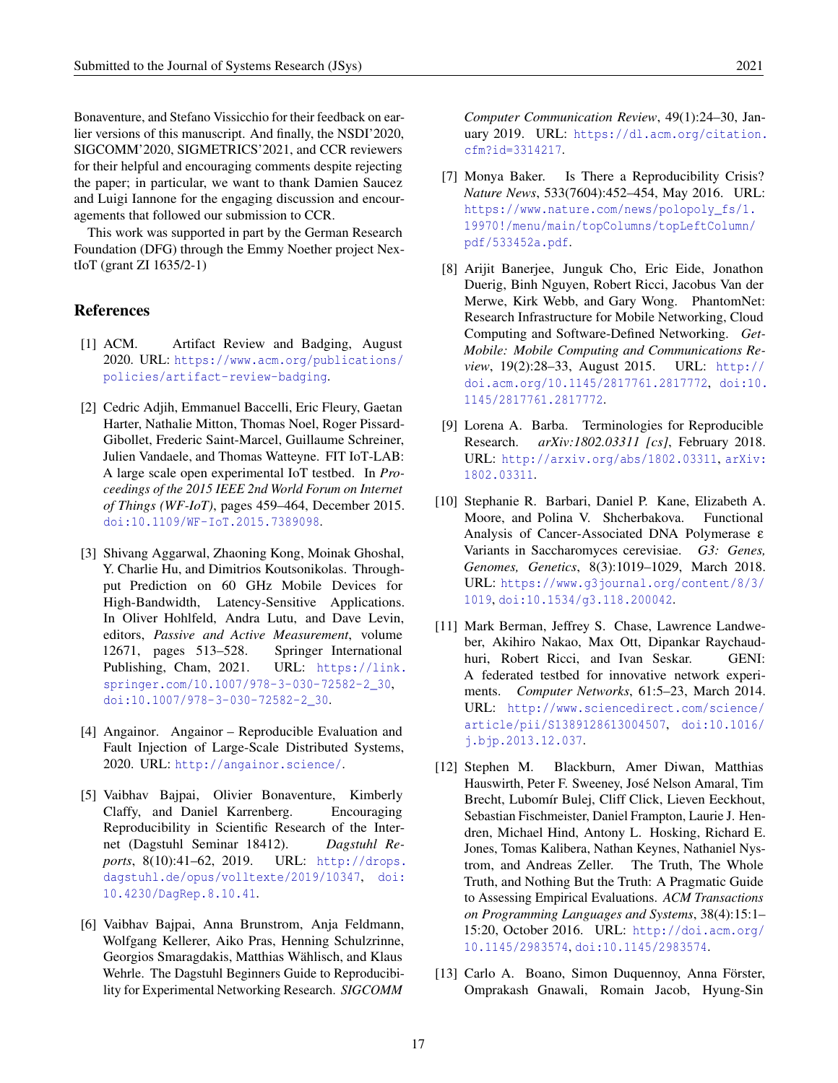Bonaventure, and Stefano Vissicchio for their feedback on earlier versions of this manuscript. And finally, the NSDI'2020, SIGCOMM'2020, SIGMETRICS'2021, and CCR reviewers for their helpful and encouraging comments despite rejecting the paper; in particular, we want to thank Damien Saucez and Luigi Iannone for the engaging discussion and encouragements that followed our submission to CCR.

This work was supported in part by the German Research Foundation (DFG) through the Emmy Noether project NextIoT (grant ZI 1635/2-1)

# References

- <span id="page-16-1"></span>[1] ACM. Artifact Review and Badging, August 2020. URL: [https://www.acm.org/publications/](https://www.acm.org/publications/policies/artifact-review-badging) [policies/artifact-review-badging](https://www.acm.org/publications/policies/artifact-review-badging).
- <span id="page-16-10"></span>[2] Cedric Adjih, Emmanuel Baccelli, Eric Fleury, Gaetan Harter, Nathalie Mitton, Thomas Noel, Roger Pissard-Gibollet, Frederic Saint-Marcel, Guillaume Schreiner, Julien Vandaele, and Thomas Watteyne. FIT IoT-LAB: A large scale open experimental IoT testbed. In *Proceedings of the 2015 IEEE 2nd World Forum on Internet of Things (WF-IoT)*, pages 459–464, December 2015. [doi:10.1109/WF-IoT.2015.7389098](https://doi.org/10.1109/WF-IoT.2015.7389098).
- <span id="page-16-12"></span>[3] Shivang Aggarwal, Zhaoning Kong, Moinak Ghoshal, Y. Charlie Hu, and Dimitrios Koutsonikolas. Throughput Prediction on 60 GHz Mobile Devices for High-Bandwidth, Latency-Sensitive Applications. In Oliver Hohlfeld, Andra Lutu, and Dave Levin, editors, *Passive and Active Measurement*, volume 12671, pages 513–528. Springer International Publishing, Cham, 2021. URL: [https://link.](https://link.springer.com/10.1007/978-3-030-72582-2_30) [springer.com/10.1007/978-3-030-72582-2\\_30](https://link.springer.com/10.1007/978-3-030-72582-2_30), [doi:10.1007/978-3-030-72582-2\\_30](https://doi.org/10.1007/978-3-030-72582-2_30).
- <span id="page-16-11"></span>[4] Angainor. Angainor – Reproducible Evaluation and Fault Injection of Large-Scale Distributed Systems, 2020. URL: <http://angainor.science/>.
- <span id="page-16-8"></span>[5] Vaibhav Bajpai, Olivier Bonaventure, Kimberly Claffy, and Daniel Karrenberg. Encouraging Reproducibility in Scientific Research of the Internet (Dagstuhl Seminar 18412). *Dagstuhl Reports*, 8(10):41–62, 2019. URL: [http://drops.](http://drops.dagstuhl.de/opus/volltexte/2019/10347) [dagstuhl.de/opus/volltexte/2019/10347](http://drops.dagstuhl.de/opus/volltexte/2019/10347), [doi:](https://doi.org/10.4230/DagRep.8.10.41) [10.4230/DagRep.8.10.41](https://doi.org/10.4230/DagRep.8.10.41).
- <span id="page-16-2"></span>[6] Vaibhav Bajpai, Anna Brunstrom, Anja Feldmann, Wolfgang Kellerer, Aiko Pras, Henning Schulzrinne, Georgios Smaragdakis, Matthias Wählisch, and Klaus Wehrle. The Dagstuhl Beginners Guide to Reproducibility for Experimental Networking Research. *SIGCOMM*

*Computer Communication Review*, 49(1):24–30, January 2019. URL: [https://dl.acm.org/citation.](https://dl.acm.org/citation.cfm?id=3314217) [cfm?id=3314217](https://dl.acm.org/citation.cfm?id=3314217).

- <span id="page-16-7"></span>[7] Monya Baker. Is There a Reproducibility Crisis? *Nature News*, 533(7604):452–454, May 2016. URL: https://www.nature.com/news/polopoly fs/1. [19970!/menu/main/topColumns/topLeftColumn/](https://www.nature.com/news/polopoly_fs/1.19970!/menu/main/topColumns/topLeftColumn/pdf/533452a.pdf) [pdf/533452a.pdf](https://www.nature.com/news/polopoly_fs/1.19970!/menu/main/topColumns/topLeftColumn/pdf/533452a.pdf).
- <span id="page-16-6"></span>[8] Arijit Banerjee, Junguk Cho, Eric Eide, Jonathon Duerig, Binh Nguyen, Robert Ricci, Jacobus Van der Merwe, Kirk Webb, and Gary Wong. PhantomNet: Research Infrastructure for Mobile Networking, Cloud Computing and Software-Defined Networking. *Get-Mobile: Mobile Computing and Communications Review*, 19(2):28–33, August 2015. URL: [http://](http://doi.acm.org/10.1145/2817761.2817772) [doi.acm.org/10.1145/2817761.2817772](http://doi.acm.org/10.1145/2817761.2817772), [doi:10.](https://doi.org/10.1145/2817761.2817772) [1145/2817761.2817772](https://doi.org/10.1145/2817761.2817772).
- <span id="page-16-0"></span>[9] Lorena A. Barba. Terminologies for Reproducible Research. *arXiv:1802.03311 [cs]*, February 2018. URL: <http://arxiv.org/abs/1802.03311>, [arXiv:](http://arxiv.org/abs/1802.03311) [1802.03311](http://arxiv.org/abs/1802.03311).
- <span id="page-16-5"></span>[10] Stephanie R. Barbari, Daniel P. Kane, Elizabeth A. Moore, and Polina V. Shcherbakova. Functional Analysis of Cancer-Associated DNA Polymerase ε Variants in Saccharomyces cerevisiae. *G3: Genes, Genomes, Genetics*, 8(3):1019–1029, March 2018. URL: [https://www.g3journal.org/content/8/3/](https://www.g3journal.org/content/8/3/1019) [1019](https://www.g3journal.org/content/8/3/1019), [doi:10.1534/g3.118.200042](https://doi.org/10.1534/g3.118.200042).
- <span id="page-16-9"></span>[11] Mark Berman, Jeffrey S. Chase, Lawrence Landweber, Akihiro Nakao, Max Ott, Dipankar Raychaudhuri, Robert Ricci, and Ivan Seskar. GENI: A federated testbed for innovative network experiments. *Computer Networks*, 61:5–23, March 2014. URL: [http://www.sciencedirect.com/science/](http://www.sciencedirect.com/science/article/pii/S1389128613004507) [article/pii/S1389128613004507](http://www.sciencedirect.com/science/article/pii/S1389128613004507), [doi:10.1016/](https://doi.org/10.1016/j.bjp.2013.12.037) [j.bjp.2013.12.037](https://doi.org/10.1016/j.bjp.2013.12.037).
- <span id="page-16-3"></span>[12] Stephen M. Blackburn, Amer Diwan, Matthias Hauswirth, Peter F. Sweeney, José Nelson Amaral, Tim Brecht, Lubomír Bulej, Cliff Click, Lieven Eeckhout, Sebastian Fischmeister, Daniel Frampton, Laurie J. Hendren, Michael Hind, Antony L. Hosking, Richard E. Jones, Tomas Kalibera, Nathan Keynes, Nathaniel Nystrom, and Andreas Zeller. The Truth, The Whole Truth, and Nothing But the Truth: A Pragmatic Guide to Assessing Empirical Evaluations. *ACM Transactions on Programming Languages and Systems*, 38(4):15:1– 15:20, October 2016. URL: [http://doi.acm.org/](http://doi.acm.org/10.1145/2983574) [10.1145/2983574](http://doi.acm.org/10.1145/2983574), [doi:10.1145/2983574](https://doi.org/10.1145/2983574).
- <span id="page-16-4"></span>[13] Carlo A. Boano, Simon Duquennoy, Anna Förster, Omprakash Gnawali, Romain Jacob, Hyung-Sin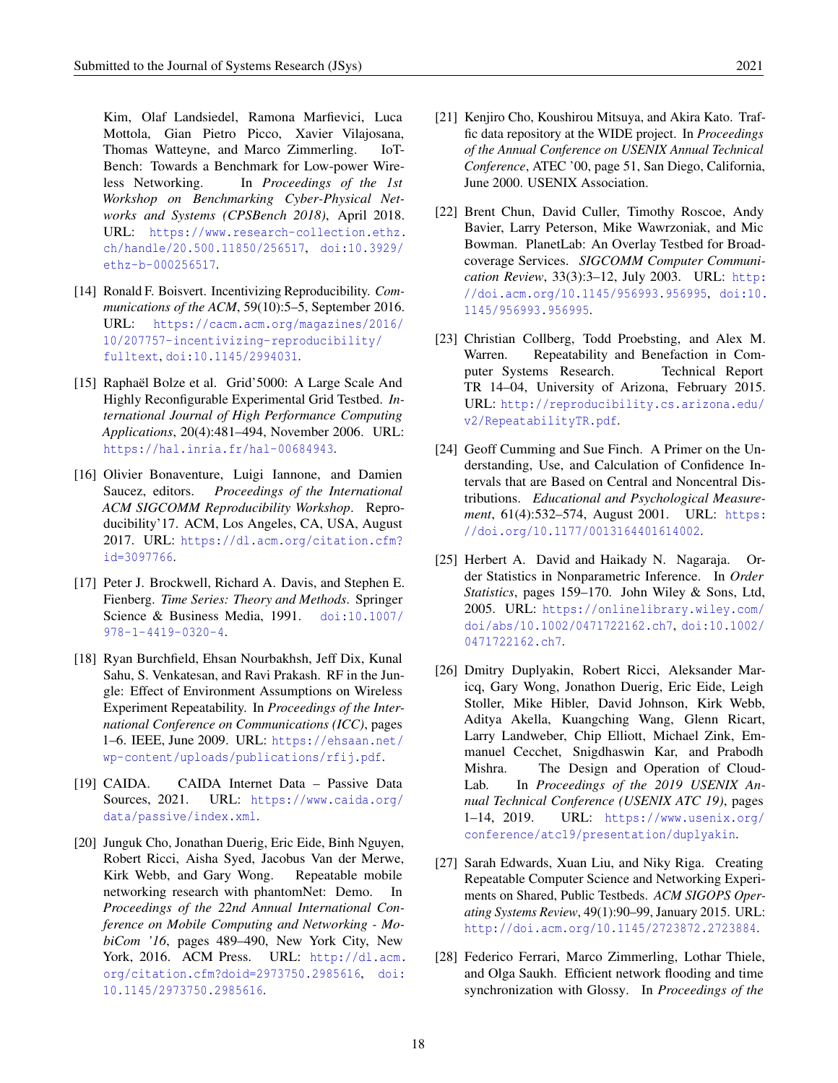Kim, Olaf Landsiedel, Ramona Marfievici, Luca Mottola, Gian Pietro Picco, Xavier Vilajosana, Thomas Watteyne, and Marco Zimmerling. IoT-Bench: Towards a Benchmark for Low-power Wireless Networking. In *Proceedings of the 1st Workshop on Benchmarking Cyber-Physical Networks and Systems (CPSBench 2018)*, April 2018. URL: [https://www.research-collection.ethz.](https://www.research-collection.ethz.ch/handle/20.500.11850/256517) [ch/handle/20.500.11850/256517](https://www.research-collection.ethz.ch/handle/20.500.11850/256517), [doi:10.3929/](https://doi.org/10.3929/ethz-b-000256517) [ethz-b-000256517](https://doi.org/10.3929/ethz-b-000256517).

- <span id="page-17-9"></span>[14] Ronald F. Boisvert. Incentivizing Reproducibility. *Communications of the ACM*, 59(10):5–5, September 2016. URL: [https://cacm.acm.org/magazines/2016/](https://cacm.acm.org/magazines/2016/10/207757-incentivizing-reproducibility/fulltext) [10/207757-incentivizing-reproducibility/](https://cacm.acm.org/magazines/2016/10/207757-incentivizing-reproducibility/fulltext) [fulltext](https://cacm.acm.org/magazines/2016/10/207757-incentivizing-reproducibility/fulltext), [doi:10.1145/2994031](https://doi.org/10.1145/2994031).
- <span id="page-17-12"></span>[15] Raphaël Bolze et al. Grid'5000: A Large Scale And Highly Reconfigurable Experimental Grid Testbed. *International Journal of High Performance Computing Applications*, 20(4):481–494, November 2006. URL: <https://hal.inria.fr/hal-00684943>.
- <span id="page-17-10"></span>[16] Olivier Bonaventure, Luigi Iannone, and Damien Saucez, editors. *Proceedings of the International ACM SIGCOMM Reproducibility Workshop*. Reproducibility'17. ACM, Los Angeles, CA, USA, August 2017. URL: [https://dl.acm.org/citation.cfm?](https://dl.acm.org/citation.cfm?id=3097766) [id=3097766](https://dl.acm.org/citation.cfm?id=3097766).
- <span id="page-17-4"></span>[17] Peter J. Brockwell, Richard A. Davis, and Stephen E. Fienberg. *Time Series: Theory and Methods*. Springer Science & Business Media, 1991. [doi:10.1007/](https://doi.org/10.1007/978-1-4419-0320-4) [978-1-4419-0320-4](https://doi.org/10.1007/978-1-4419-0320-4).
- <span id="page-17-1"></span>[18] Ryan Burchfield, Ehsan Nourbakhsh, Jeff Dix, Kunal Sahu, S. Venkatesan, and Ravi Prakash. RF in the Jungle: Effect of Environment Assumptions on Wireless Experiment Repeatability. In *Proceedings of the International Conference on Communications (ICC)*, pages 1–6. IEEE, June 2009. URL: [https://ehsaan.net/](https://ehsaan.net/wp-content/uploads/publications/rfij.pdf) [wp-content/uploads/publications/rfij.pdf](https://ehsaan.net/wp-content/uploads/publications/rfij.pdf).
- <span id="page-17-6"></span>[19] CAIDA. CAIDA Internet Data – Passive Data Sources, 2021. URL: [https://www.caida.org/](https://www.caida.org/data/passive/index.xml) [data/passive/index.xml](https://www.caida.org/data/passive/index.xml).
- <span id="page-17-14"></span>[20] Junguk Cho, Jonathan Duerig, Eric Eide, Binh Nguyen, Robert Ricci, Aisha Syed, Jacobus Van der Merwe, Kirk Webb, and Gary Wong. Repeatable mobile networking research with phantomNet: Demo. In *Proceedings of the 22nd Annual International Conference on Mobile Computing and Networking - MobiCom '16*, pages 489–490, New York City, New York, 2016. ACM Press. URL: [http://dl.acm.](http://dl.acm.org/citation.cfm?doid=2973750.2985616) [org/citation.cfm?doid=2973750.2985616](http://dl.acm.org/citation.cfm?doid=2973750.2985616), [doi:](https://doi.org/10.1145/2973750.2985616) [10.1145/2973750.2985616](https://doi.org/10.1145/2973750.2985616).
- <span id="page-17-7"></span>fic data repository at the WIDE project. In *Proceedings of the Annual Conference on USENIX Annual Technical Conference*, ATEC '00, page 51, San Diego, California, June 2000. USENIX Association.
- <span id="page-17-11"></span>[22] Brent Chun, David Culler, Timothy Roscoe, Andy Bavier, Larry Peterson, Mike Wawrzoniak, and Mic Bowman. PlanetLab: An Overlay Testbed for Broadcoverage Services. *SIGCOMM Computer Communication Review*, 33(3):3–12, July 2003. URL: [http:](http://doi.acm.org/10.1145/956993.956995) [//doi.acm.org/10.1145/956993.956995](http://doi.acm.org/10.1145/956993.956995), [doi:10.](https://doi.org/10.1145/956993.956995) [1145/956993.956995](https://doi.org/10.1145/956993.956995).
- <span id="page-17-0"></span>[23] Christian Collberg, Todd Proebsting, and Alex M. Warren. Repeatability and Benefaction in Computer Systems Research. Technical Report TR 14–04, University of Arizona, February 2015. URL: [http://reproducibility.cs.arizona.edu/](http://reproducibility.cs.arizona.edu/v2/RepeatabilityTR.pdf) [v2/RepeatabilityTR.pdf](http://reproducibility.cs.arizona.edu/v2/RepeatabilityTR.pdf).
- <span id="page-17-2"></span>[24] Geoff Cumming and Sue Finch. A Primer on the Understanding, Use, and Calculation of Confidence Intervals that are Based on Central and Noncentral Distributions. *Educational and Psychological Measurement*, 61(4):532–574, August 2001. URL: [https:](https://doi.org/10.1177/0013164401614002) [//doi.org/10.1177/0013164401614002](https://doi.org/10.1177/0013164401614002).
- <span id="page-17-3"></span>[25] Herbert A. David and Haikady N. Nagaraja. Order Statistics in Nonparametric Inference. In *Order Statistics*, pages 159–170. John Wiley & Sons, Ltd, 2005. URL: [https://onlinelibrary.wiley.com/](https://onlinelibrary.wiley.com/doi/abs/10.1002/0471722162.ch7) [doi/abs/10.1002/0471722162.ch7](https://onlinelibrary.wiley.com/doi/abs/10.1002/0471722162.ch7), [doi:10.1002/](https://doi.org/10.1002/0471722162.ch7) [0471722162.ch7](https://doi.org/10.1002/0471722162.ch7).
- <span id="page-17-8"></span>[26] Dmitry Duplyakin, Robert Ricci, Aleksander Maricq, Gary Wong, Jonathon Duerig, Eric Eide, Leigh Stoller, Mike Hibler, David Johnson, Kirk Webb, Aditya Akella, Kuangching Wang, Glenn Ricart, Larry Landweber, Chip Elliott, Michael Zink, Emmanuel Cecchet, Snigdhaswin Kar, and Prabodh Mishra. The Design and Operation of Cloud-Lab. In *Proceedings of the 2019 USENIX Annual Technical Conference (USENIX ATC 19)*, pages 1–14, 2019. URL: [https://www.usenix.org/](https://www.usenix.org/conference/atc19/presentation/duplyakin) [conference/atc19/presentation/duplyakin](https://www.usenix.org/conference/atc19/presentation/duplyakin).
- <span id="page-17-13"></span>[27] Sarah Edwards, Xuan Liu, and Niky Riga. Creating Repeatable Computer Science and Networking Experiments on Shared, Public Testbeds. *ACM SIGOPS Operating Systems Review*, 49(1):90–99, January 2015. URL: <http://doi.acm.org/10.1145/2723872.2723884>.
- <span id="page-17-5"></span>[28] Federico Ferrari, Marco Zimmerling, Lothar Thiele, and Olga Saukh. Efficient network flooding and time synchronization with Glossy. In *Proceedings of the*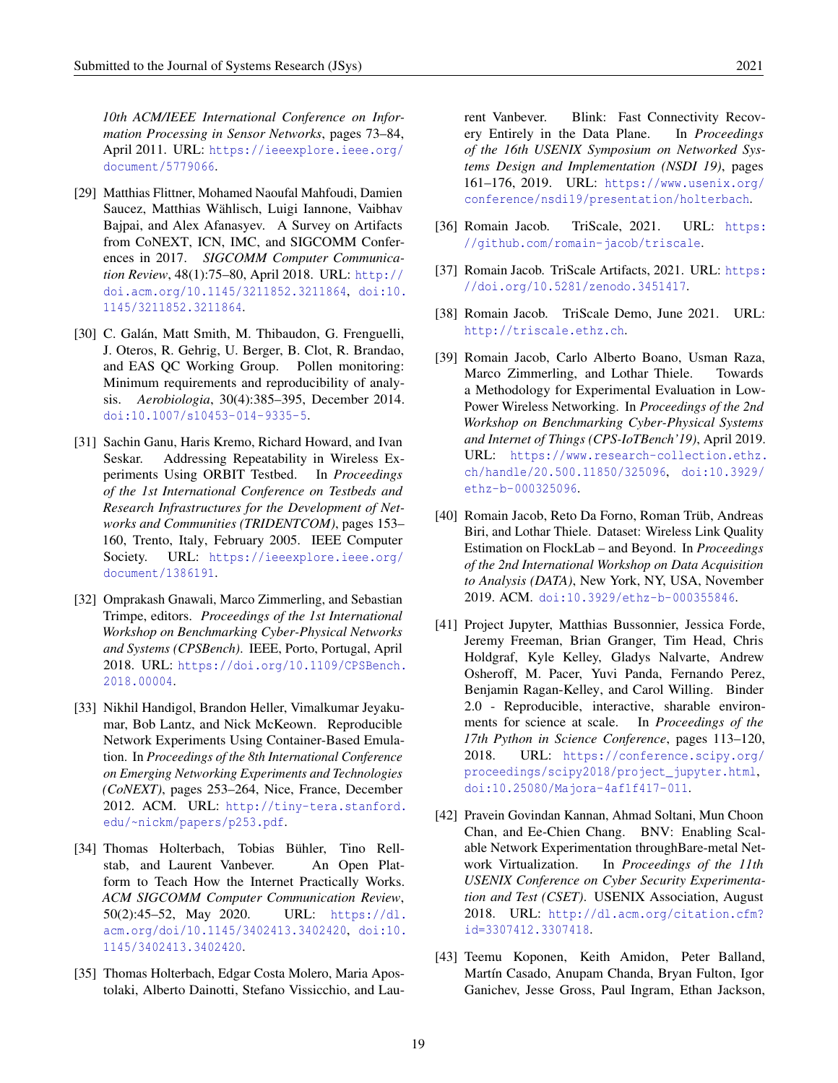*10th ACM/IEEE International Conference on Information Processing in Sensor Networks*, pages 73–84, April 2011. URL: [https://ieeexplore.ieee.org/](https://ieeexplore.ieee.org/document/5779066) [document/5779066](https://ieeexplore.ieee.org/document/5779066).

- <span id="page-18-0"></span>[29] Matthias Flittner, Mohamed Naoufal Mahfoudi, Damien Saucez, Matthias Wählisch, Luigi Iannone, Vaibhav Bajpai, and Alex Afanasyev. A Survey on Artifacts from CoNEXT, ICN, IMC, and SIGCOMM Conferences in 2017. *SIGCOMM Computer Communication Review*, 48(1):75–80, April 2018. URL: [http://](http://doi.acm.org/10.1145/3211852.3211864) [doi.acm.org/10.1145/3211852.3211864](http://doi.acm.org/10.1145/3211852.3211864), [doi:10.](https://doi.org/10.1145/3211852.3211864) [1145/3211852.3211864](https://doi.org/10.1145/3211852.3211864).
- <span id="page-18-7"></span>[30] C. Galán, Matt Smith, M. Thibaudon, G. Frenguelli, J. Oteros, R. Gehrig, U. Berger, B. Clot, R. Brandao, and EAS QC Working Group. Pollen monitoring: Minimum requirements and reproducibility of analysis. *Aerobiologia*, 30(4):385–395, December 2014. [doi:10.1007/s10453-014-9335-5](https://doi.org/10.1007/s10453-014-9335-5).
- <span id="page-18-11"></span>[31] Sachin Ganu, Haris Kremo, Richard Howard, and Ivan Seskar. Addressing Repeatability in Wireless Experiments Using ORBIT Testbed. In *Proceedings of the 1st International Conference on Testbeds and Research Infrastructures for the Development of Networks and Communities (TRIDENTCOM)*, pages 153– 160, Trento, Italy, February 2005. IEEE Computer Society. URL: [https://ieeexplore.ieee.org/](https://ieeexplore.ieee.org/document/1386191) [document/1386191](https://ieeexplore.ieee.org/document/1386191).
- <span id="page-18-8"></span>[32] Omprakash Gnawali, Marco Zimmerling, and Sebastian Trimpe, editors. *Proceedings of the 1st International Workshop on Benchmarking Cyber-Physical Networks and Systems (CPSBench)*. IEEE, Porto, Portugal, April 2018. URL: [https://doi.org/10.1109/CPSBench.](https://doi.org/10.1109/CPSBench.2018.00004) [2018.00004](https://doi.org/10.1109/CPSBench.2018.00004).
- <span id="page-18-9"></span>[33] Nikhil Handigol, Brandon Heller, Vimalkumar Jeyakumar, Bob Lantz, and Nick McKeown. Reproducible Network Experiments Using Container-Based Emulation. In *Proceedings of the 8th International Conference on Emerging Networking Experiments and Technologies (CoNEXT)*, pages 253–264, Nice, France, December 2012. ACM. URL: [http://tiny-tera.stanford.](http://tiny-tera.stanford.edu/~nickm/papers/p253.pdf) [edu/~nickm/papers/p253.pdf](http://tiny-tera.stanford.edu/~nickm/papers/p253.pdf).
- <span id="page-18-10"></span>[34] Thomas Holterbach, Tobias Bühler, Tino Rellstab, and Laurent Vanbever. An Open Platform to Teach How the Internet Practically Works. *ACM SIGCOMM Computer Communication Review*, 50(2):45–52, May 2020. URL: [https://dl.](https://dl.acm.org/doi/10.1145/3402413.3402420) [acm.org/doi/10.1145/3402413.3402420](https://dl.acm.org/doi/10.1145/3402413.3402420), [doi:10.](https://doi.org/10.1145/3402413.3402420) [1145/3402413.3402420](https://doi.org/10.1145/3402413.3402420).
- <span id="page-18-6"></span>[35] Thomas Holterbach, Edgar Costa Molero, Maria Apostolaki, Alberto Dainotti, Stefano Vissicchio, and Lau-

rent Vanbever. Blink: Fast Connectivity Recovery Entirely in the Data Plane. In *Proceedings of the 16th USENIX Symposium on Networked Systems Design and Implementation (NSDI 19)*, pages 161–176, 2019. URL: [https://www.usenix.org/](https://www.usenix.org/conference/nsdi19/presentation/holterbach) [conference/nsdi19/presentation/holterbach](https://www.usenix.org/conference/nsdi19/presentation/holterbach).

- <span id="page-18-2"></span>[36] Romain Jacob. TriScale, 2021. URL: [https:](https://github.com/romain-jacob/triscale) [//github.com/romain-jacob/triscale](https://github.com/romain-jacob/triscale).
- <span id="page-18-3"></span>[37] Romain Jacob. TriScale Artifacts, 2021. URL: [https:](https://doi.org/10.5281/zenodo.3451417) [//doi.org/10.5281/zenodo.3451417](https://doi.org/10.5281/zenodo.3451417).
- <span id="page-18-4"></span>[38] Romain Jacob. TriScale Demo, June 2021. URL: <http://triscale.ethz.ch>.
- <span id="page-18-1"></span>[39] Romain Jacob, Carlo Alberto Boano, Usman Raza, Marco Zimmerling, and Lothar Thiele. Towards a Methodology for Experimental Evaluation in Low-Power Wireless Networking. In *Proceedings of the 2nd Workshop on Benchmarking Cyber-Physical Systems and Internet of Things (CPS-IoTBench'19)*, April 2019. URL: [https://www.research-collection.ethz.](https://www.research-collection.ethz.ch/handle/20.500.11850/325096) [ch/handle/20.500.11850/325096](https://www.research-collection.ethz.ch/handle/20.500.11850/325096), [doi:10.3929/](https://doi.org/10.3929/ethz-b-000325096) [ethz-b-000325096](https://doi.org/10.3929/ethz-b-000325096).
- <span id="page-18-5"></span>[40] Romain Jacob, Reto Da Forno, Roman Trüb, Andreas Biri, and Lothar Thiele. Dataset: Wireless Link Quality Estimation on FlockLab – and Beyond. In *Proceedings of the 2nd International Workshop on Data Acquisition to Analysis (DATA)*, New York, NY, USA, November 2019. ACM. [doi:10.3929/ethz-b-000355846](https://doi.org/10.3929/ethz-b-000355846).
- <span id="page-18-14"></span>[41] Project Jupyter, Matthias Bussonnier, Jessica Forde, Jeremy Freeman, Brian Granger, Tim Head, Chris Holdgraf, Kyle Kelley, Gladys Nalvarte, Andrew Osheroff, M. Pacer, Yuvi Panda, Fernando Perez, Benjamin Ragan-Kelley, and Carol Willing. Binder 2.0 - Reproducible, interactive, sharable environments for science at scale. In *Proceedings of the 17th Python in Science Conference*, pages 113–120, 2018. URL: [https://conference.scipy.org/](https://conference.scipy.org/proceedings/scipy2018/project_jupyter.html) [proceedings/scipy2018/project\\_jupyter.html](https://conference.scipy.org/proceedings/scipy2018/project_jupyter.html), [doi:10.25080/Majora-4af1f417-011](https://doi.org/10.25080/Majora-4af1f417-011).
- <span id="page-18-12"></span>[42] Pravein Govindan Kannan, Ahmad Soltani, Mun Choon Chan, and Ee-Chien Chang. BNV: Enabling Scalable Network Experimentation throughBare-metal Network Virtualization. In *Proceedings of the 11th USENIX Conference on Cyber Security Experimentation and Test (CSET)*. USENIX Association, August 2018. URL: [http://dl.acm.org/citation.cfm?](http://dl.acm.org/citation.cfm?id=3307412.3307418) [id=3307412.3307418](http://dl.acm.org/citation.cfm?id=3307412.3307418).
- <span id="page-18-13"></span>[43] Teemu Koponen, Keith Amidon, Peter Balland, Martín Casado, Anupam Chanda, Bryan Fulton, Igor Ganichev, Jesse Gross, Paul Ingram, Ethan Jackson,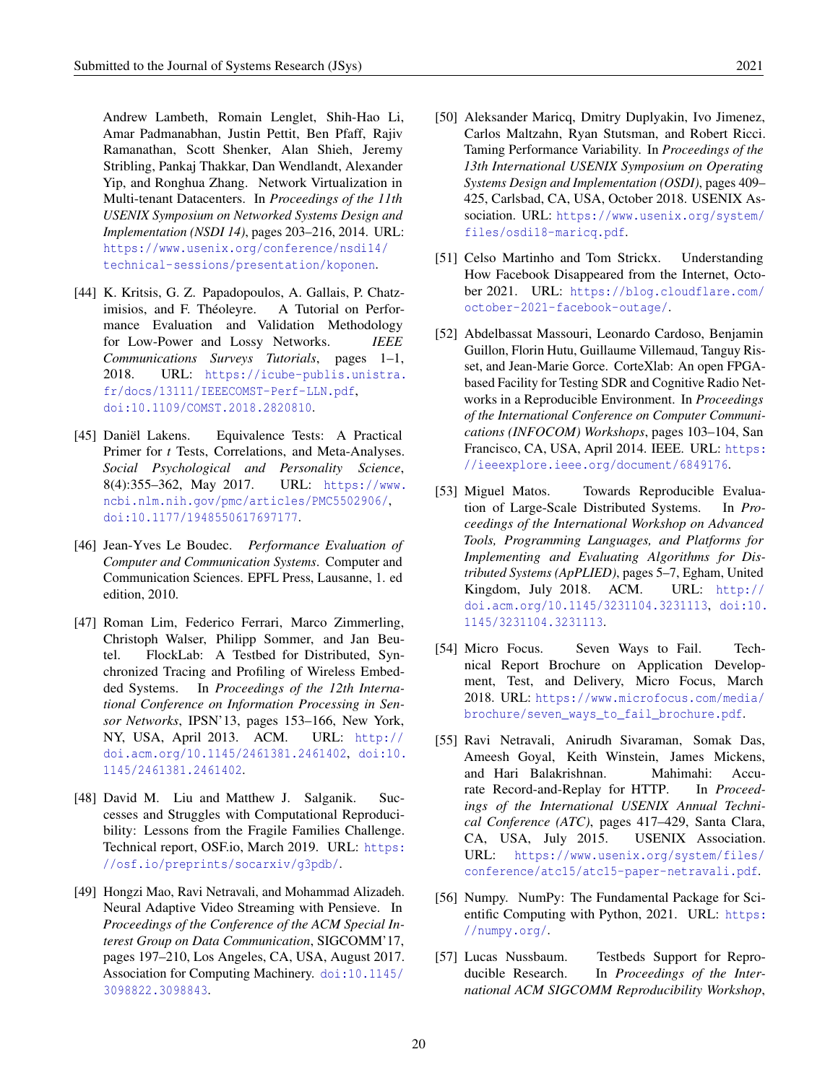Andrew Lambeth, Romain Lenglet, Shih-Hao Li, Amar Padmanabhan, Justin Pettit, Ben Pfaff, Rajiv Ramanathan, Scott Shenker, Alan Shieh, Jeremy Stribling, Pankaj Thakkar, Dan Wendlandt, Alexander Yip, and Ronghua Zhang. Network Virtualization in Multi-tenant Datacenters. In *Proceedings of the 11th USENIX Symposium on Networked Systems Design and Implementation (NSDI 14)*, pages 203–216, 2014. URL: [https://www.usenix.org/conference/nsdi14/](https://www.usenix.org/conference/nsdi14/technical-sessions/presentation/koponen) [technical-sessions/presentation/koponen](https://www.usenix.org/conference/nsdi14/technical-sessions/presentation/koponen).

- <span id="page-19-0"></span>[44] K. Kritsis, G. Z. Papadopoulos, A. Gallais, P. Chatzimisios, and F. Théoleyre. A Tutorial on Performance Evaluation and Validation Methodology for Low-Power and Lossy Networks. *IEEE Communications Surveys Tutorials*, pages 1–1, 2018. URL: [https://icube-publis.unistra.](https://icube-publis.unistra.fr/docs/13111/IEEECOMST-Perf-LLN.pdf) [fr/docs/13111/IEEECOMST-Perf-LLN.pdf](https://icube-publis.unistra.fr/docs/13111/IEEECOMST-Perf-LLN.pdf), [doi:10.1109/COMST.2018.2820810](https://doi.org/10.1109/COMST.2018.2820810).
- <span id="page-19-6"></span>[45] Daniël Lakens. Equivalence Tests: A Practical Primer for *t* Tests, Correlations, and Meta-Analyses. *Social Psychological and Personality Science*, 8(4):355–362, May 2017. URL: [https://www.](https://www.ncbi.nlm.nih.gov/pmc/articles/PMC5502906/) [ncbi.nlm.nih.gov/pmc/articles/PMC5502906/](https://www.ncbi.nlm.nih.gov/pmc/articles/PMC5502906/), [doi:10.1177/1948550617697177](https://doi.org/10.1177/1948550617697177).
- <span id="page-19-7"></span>[46] Jean-Yves Le Boudec. *Performance Evaluation of Computer and Communication Systems*. Computer and Communication Sciences. EPFL Press, Lausanne, 1. ed edition, 2010.
- <span id="page-19-9"></span>[47] Roman Lim, Federico Ferrari, Marco Zimmerling, Christoph Walser, Philipp Sommer, and Jan Beutel. FlockLab: A Testbed for Distributed, Synchronized Tracing and Profiling of Wireless Embedded Systems. In *Proceedings of the 12th International Conference on Information Processing in Sensor Networks*, IPSN'13, pages 153–166, New York, NY, USA, April 2013. ACM. URL: [http://](http://doi.acm.org/10.1145/2461381.2461402) [doi.acm.org/10.1145/2461381.2461402](http://doi.acm.org/10.1145/2461381.2461402), [doi:10.](https://doi.org/10.1145/2461381.2461402) [1145/2461381.2461402](https://doi.org/10.1145/2461381.2461402).
- <span id="page-19-8"></span>[48] David M. Liu and Matthew J. Salganik. Successes and Struggles with Computational Reproducibility: Lessons from the Fragile Families Challenge. Technical report, OSF.io, March 2019. URL: [https:](https://osf.io/preprints/socarxiv/g3pdb/) [//osf.io/preprints/socarxiv/g3pdb/](https://osf.io/preprints/socarxiv/g3pdb/).
- <span id="page-19-10"></span>[49] Hongzi Mao, Ravi Netravali, and Mohammad Alizadeh. Neural Adaptive Video Streaming with Pensieve. In *Proceedings of the Conference of the ACM Special Interest Group on Data Communication*, SIGCOMM'17, pages 197–210, Los Angeles, CA, USA, August 2017. Association for Computing Machinery. [doi:10.1145/](https://doi.org/10.1145/3098822.3098843) [3098822.3098843](https://doi.org/10.1145/3098822.3098843).
- <span id="page-19-3"></span>[50] Aleksander Maricq, Dmitry Duplyakin, Ivo Jimenez, Carlos Maltzahn, Ryan Stutsman, and Robert Ricci. Taming Performance Variability. In *Proceedings of the 13th International USENIX Symposium on Operating Systems Design and Implementation (OSDI)*, pages 409– 425, Carlsbad, CA, USA, October 2018. USENIX Association. URL: [https://www.usenix.org/system/](https://www.usenix.org/system/files/osdi18-maricq.pdf) [files/osdi18-maricq.pdf](https://www.usenix.org/system/files/osdi18-maricq.pdf).
- <span id="page-19-11"></span>[51] Celso Martinho and Tom Strickx. Understanding How Facebook Disappeared from the Internet, October 2021. URL: [https://blog.cloudflare.com/](https://blog.cloudflare.com/october-2021-facebook-outage/) [october-2021-facebook-outage/](https://blog.cloudflare.com/october-2021-facebook-outage/).
- <span id="page-19-12"></span>[52] Abdelbassat Massouri, Leonardo Cardoso, Benjamin Guillon, Florin Hutu, Guillaume Villemaud, Tanguy Risset, and Jean-Marie Gorce. CorteXlab: An open FPGAbased Facility for Testing SDR and Cognitive Radio Networks in a Reproducible Environment. In *Proceedings of the International Conference on Computer Communications (INFOCOM) Workshops*, pages 103–104, San Francisco, CA, USA, April 2014. IEEE. URL: [https:](https://ieeexplore.ieee.org/document/6849176) [//ieeexplore.ieee.org/document/6849176](https://ieeexplore.ieee.org/document/6849176).
- <span id="page-19-1"></span>[53] Miguel Matos. Towards Reproducible Evaluation of Large-Scale Distributed Systems. In *Proceedings of the International Workshop on Advanced Tools, Programming Languages, and Platforms for Implementing and Evaluating Algorithms for Distributed Systems (ApPLIED)*, pages 5–7, Egham, United Kingdom, July 2018. ACM. URL: [http://](http://doi.acm.org/10.1145/3231104.3231113) [doi.acm.org/10.1145/3231104.3231113](http://doi.acm.org/10.1145/3231104.3231113), [doi:10.](https://doi.org/10.1145/3231104.3231113) [1145/3231104.3231113](https://doi.org/10.1145/3231104.3231113).
- <span id="page-19-4"></span>[54] Micro Focus. Seven Ways to Fail. Technical Report Brochure on Application Development, Test, and Delivery, Micro Focus, March 2018. URL: [https://www.microfocus.com/media/](https://www.microfocus.com/media/brochure/seven_ways_to_fail_brochure.pdf) [brochure/seven\\_ways\\_to\\_fail\\_brochure.pdf](https://www.microfocus.com/media/brochure/seven_ways_to_fail_brochure.pdf).
- <span id="page-19-5"></span>[55] Ravi Netravali, Anirudh Sivaraman, Somak Das, Ameesh Goyal, Keith Winstein, James Mickens, and Hari Balakrishnan. Mahimahi: Accurate Record-and-Replay for HTTP. In *Proceedings of the International USENIX Annual Technical Conference (ATC)*, pages 417–429, Santa Clara, CA, USA, July 2015. USENIX Association. URL: [https://www.usenix.org/system/files/](https://www.usenix.org/system/files/conference/atc15/atc15-paper-netravali.pdf) [conference/atc15/atc15-paper-netravali.pdf](https://www.usenix.org/system/files/conference/atc15/atc15-paper-netravali.pdf).
- <span id="page-19-13"></span>[56] Numpy. NumPy: The Fundamental Package for Scientific Computing with Python, 2021. URL: [https:](https://numpy.org/) [//numpy.org/](https://numpy.org/).
- <span id="page-19-2"></span>[57] Lucas Nussbaum. Testbeds Support for Reproducible Research. In *Proceedings of the International ACM SIGCOMM Reproducibility Workshop*,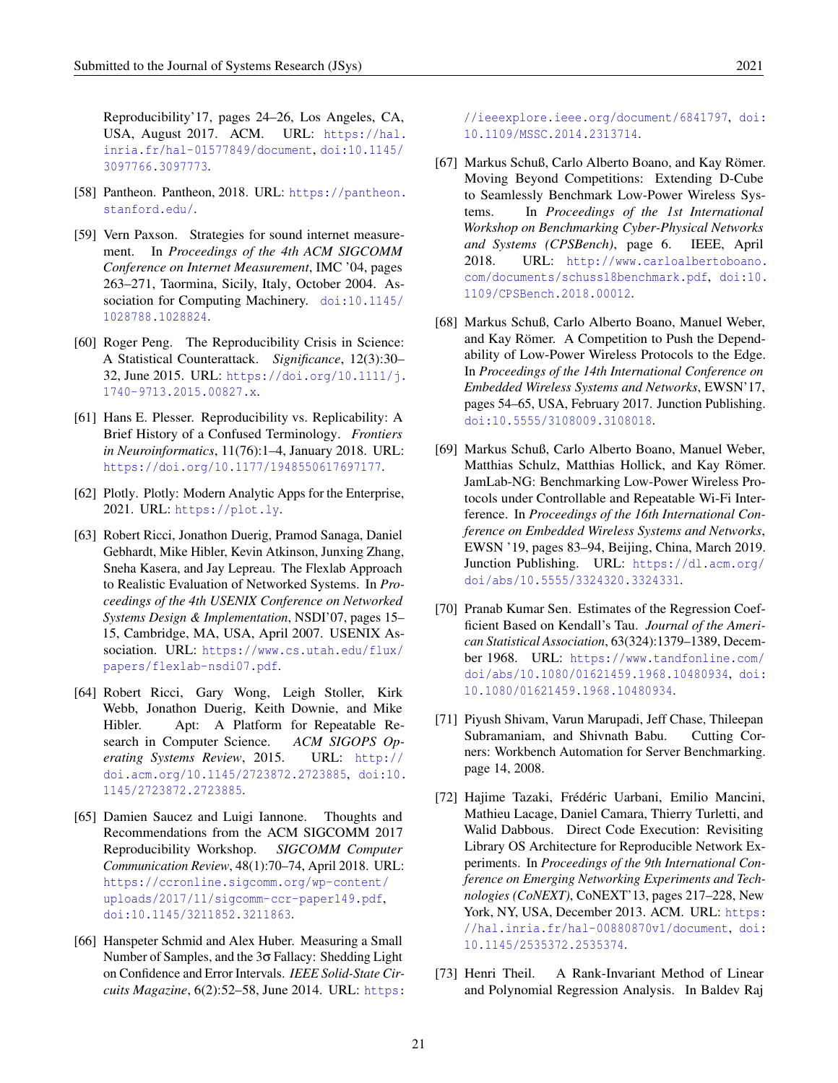Reproducibility'17, pages 24–26, Los Angeles, CA, USA, August 2017. ACM. URL: [https://hal.](https://hal.inria.fr/hal-01577849/document) [inria.fr/hal-01577849/document](https://hal.inria.fr/hal-01577849/document), [doi:10.1145/](https://doi.org/10.1145/3097766.3097773) [3097766.3097773](https://doi.org/10.1145/3097766.3097773).

- <span id="page-20-6"></span>[58] Pantheon. Pantheon, 2018. URL: [https://pantheon.](https://pantheon.stanford.edu/) [stanford.edu/](https://pantheon.stanford.edu/).
- <span id="page-20-1"></span>[59] Vern Paxson. Strategies for sound internet measurement. In *Proceedings of the 4th ACM SIGCOMM Conference on Internet Measurement*, IMC '04, pages 263–271, Taormina, Sicily, Italy, October 2004. Association for Computing Machinery. [doi:10.1145/](https://doi.org/10.1145/1028788.1028824) [1028788.1028824](https://doi.org/10.1145/1028788.1028824).
- <span id="page-20-9"></span>[60] Roger Peng. The Reproducibility Crisis in Science: A Statistical Counterattack. *Significance*, 12(3):30– 32, June 2015. URL: [https://doi.org/10.1111/j.](https://doi.org/10.1111/j.1740-9713.2015.00827.x) [1740-9713.2015.00827.x](https://doi.org/10.1111/j.1740-9713.2015.00827.x).
- <span id="page-20-0"></span>[61] Hans E. Plesser. Reproducibility vs. Replicability: A Brief History of a Confused Terminology. *Frontiers in Neuroinformatics*, 11(76):1–4, January 2018. URL: <https://doi.org/10.1177/1948550617697177>.
- <span id="page-20-15"></span>[62] Plotly. Plotly: Modern Analytic Apps for the Enterprise, 2021. URL: <https://plot.ly>.
- <span id="page-20-11"></span>[63] Robert Ricci, Jonathon Duerig, Pramod Sanaga, Daniel Gebhardt, Mike Hibler, Kevin Atkinson, Junxing Zhang, Sneha Kasera, and Jay Lepreau. The Flexlab Approach to Realistic Evaluation of Networked Systems. In *Proceedings of the 4th USENIX Conference on Networked Systems Design & Implementation*, NSDI'07, pages 15– 15, Cambridge, MA, USA, April 2007. USENIX Association. URL: [https://www.cs.utah.edu/flux/](https://www.cs.utah.edu/flux/papers/flexlab-nsdi07.pdf) [papers/flexlab-nsdi07.pdf](https://www.cs.utah.edu/flux/papers/flexlab-nsdi07.pdf).
- <span id="page-20-13"></span>[64] Robert Ricci, Gary Wong, Leigh Stoller, Kirk Webb, Jonathon Duerig, Keith Downie, and Mike Hibler. Apt: A Platform for Repeatable Research in Computer Science. *ACM SIGOPS Operating Systems Review*, 2015. URL: [http://](http://doi.acm.org/10.1145/2723872.2723885) [doi.acm.org/10.1145/2723872.2723885](http://doi.acm.org/10.1145/2723872.2723885), [doi:10.](https://doi.org/10.1145/2723872.2723885) [1145/2723872.2723885](https://doi.org/10.1145/2723872.2723885).
- <span id="page-20-2"></span>[65] Damien Saucez and Luigi Iannone. Thoughts and Recommendations from the ACM SIGCOMM 2017 Reproducibility Workshop. *SIGCOMM Computer Communication Review*, 48(1):70–74, April 2018. URL: [https://ccronline.sigcomm.org/wp-content/](https://ccronline.sigcomm.org/wp-content/uploads/2017/11/sigcomm-ccr-paper149.pdf) [uploads/2017/11/sigcomm-ccr-paper149.pdf](https://ccronline.sigcomm.org/wp-content/uploads/2017/11/sigcomm-ccr-paper149.pdf), [doi:10.1145/3211852.3211863](https://doi.org/10.1145/3211852.3211863).
- <span id="page-20-3"></span>[66] Hanspeter Schmid and Alex Huber. Measuring a Small Number of Samples, and the 3σ Fallacy: Shedding Light on Confidence and Error Intervals. *IEEE Solid-State Circuits Magazine*, 6(2):52–58, June 2014. URL: [https:](https://ieeexplore.ieee.org/document/6841797)

[//ieeexplore.ieee.org/document/6841797](https://ieeexplore.ieee.org/document/6841797), [doi:](https://doi.org/10.1109/MSSC.2014.2313714) [10.1109/MSSC.2014.2313714](https://doi.org/10.1109/MSSC.2014.2313714).

- <span id="page-20-7"></span>[67] Markus Schuß, Carlo Alberto Boano, and Kay Römer. Moving Beyond Competitions: Extending D-Cube to Seamlessly Benchmark Low-Power Wireless Systems. In *Proceedings of the 1st International Workshop on Benchmarking Cyber-Physical Networks and Systems (CPSBench)*, page 6. IEEE, April 2018. URL: [http://www.carloalbertoboano.](http://www.carloalbertoboano.com/documents/schuss18benchmark.pdf) [com/documents/schuss18benchmark.pdf](http://www.carloalbertoboano.com/documents/schuss18benchmark.pdf), [doi:10.](https://doi.org/10.1109/CPSBench.2018.00012) [1109/CPSBench.2018.00012](https://doi.org/10.1109/CPSBench.2018.00012).
- <span id="page-20-8"></span>[68] Markus Schuß, Carlo Alberto Boano, Manuel Weber, and Kay Römer. A Competition to Push the Dependability of Low-Power Wireless Protocols to the Edge. In *Proceedings of the 14th International Conference on Embedded Wireless Systems and Networks*, EWSN'17, pages 54–65, USA, February 2017. Junction Publishing. [doi:10.5555/3108009.3108018](https://doi.org/10.5555/3108009.3108018).
- <span id="page-20-14"></span>[69] Markus Schuß, Carlo Alberto Boano, Manuel Weber, Matthias Schulz, Matthias Hollick, and Kay Römer. JamLab-NG: Benchmarking Low-Power Wireless Protocols under Controllable and Repeatable Wi-Fi Interference. In *Proceedings of the 16th International Conference on Embedded Wireless Systems and Networks*, EWSN '19, pages 83–94, Beijing, China, March 2019. Junction Publishing. URL: [https://dl.acm.org/](https://dl.acm.org/doi/abs/10.5555/3324320.3324331) [doi/abs/10.5555/3324320.3324331](https://dl.acm.org/doi/abs/10.5555/3324320.3324331).
- <span id="page-20-4"></span>[70] Pranab Kumar Sen. Estimates of the Regression Coefficient Based on Kendall's Tau. *Journal of the American Statistical Association*, 63(324):1379–1389, December 1968. URL: [https://www.tandfonline.com/](https://www.tandfonline.com/doi/abs/10.1080/01621459.1968.10480934) [doi/abs/10.1080/01621459.1968.10480934](https://www.tandfonline.com/doi/abs/10.1080/01621459.1968.10480934), [doi:](https://doi.org/10.1080/01621459.1968.10480934) [10.1080/01621459.1968.10480934](https://doi.org/10.1080/01621459.1968.10480934).
- <span id="page-20-10"></span>[71] Piyush Shivam, Varun Marupadi, Jeff Chase, Thileepan Subramaniam, and Shivnath Babu. Cutting Corners: Workbench Automation for Server Benchmarking. page 14, 2008.
- <span id="page-20-12"></span>[72] Hajime Tazaki, Frédéric Uarbani, Emilio Mancini, Mathieu Lacage, Daniel Camara, Thierry Turletti, and Walid Dabbous. Direct Code Execution: Revisiting Library OS Architecture for Reproducible Network Experiments. In *Proceedings of the 9th International Conference on Emerging Networking Experiments and Technologies (CoNEXT)*, CoNEXT'13, pages 217–228, New York, NY, USA, December 2013. ACM. URL: [https:](https://hal.inria.fr/hal-00880870v1/document) [//hal.inria.fr/hal-00880870v1/document](https://hal.inria.fr/hal-00880870v1/document), [doi:](https://doi.org/10.1145/2535372.2535374) [10.1145/2535372.2535374](https://doi.org/10.1145/2535372.2535374).
- <span id="page-20-5"></span>[73] Henri Theil. A Rank-Invariant Method of Linear and Polynomial Regression Analysis. In Baldev Raj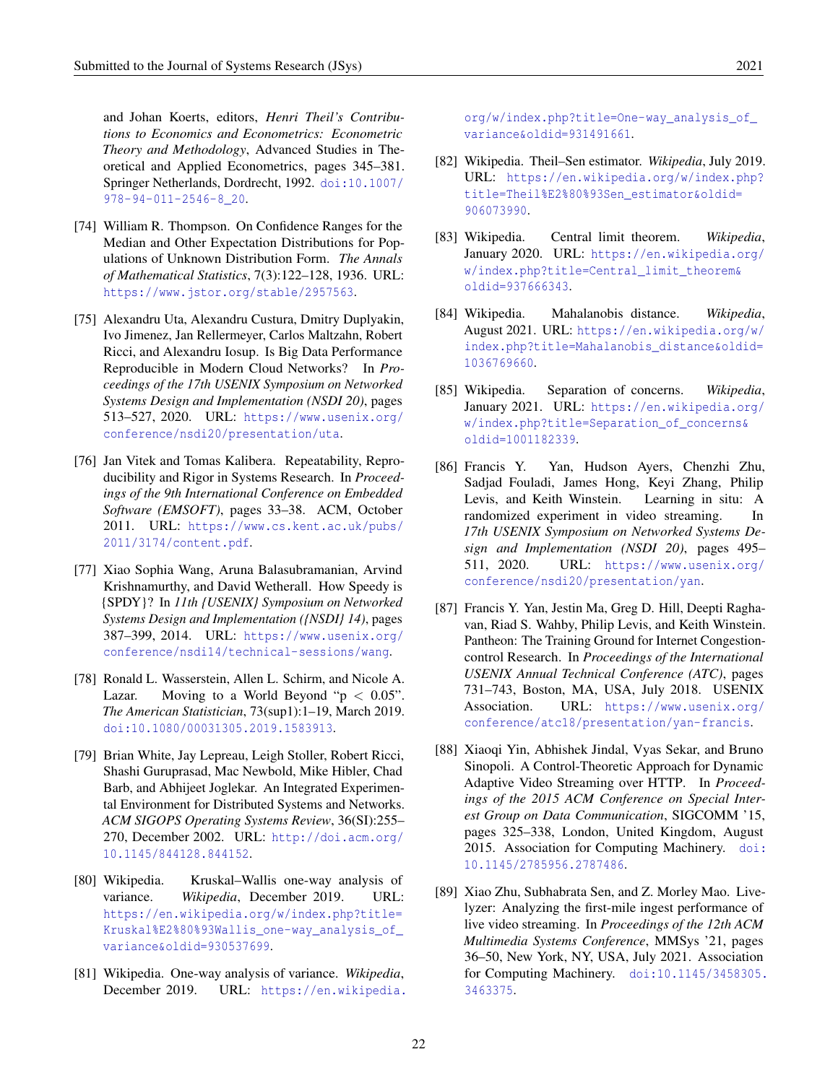and Johan Koerts, editors, *Henri Theil's Contributions to Economics and Econometrics: Econometric Theory and Methodology*, Advanced Studies in Theoretical and Applied Econometrics, pages 345–381. Springer Netherlands, Dordrecht, 1992. [doi:10.1007/](https://doi.org/10.1007/978-94-011-2546-8_20) [978-94-011-2546-8\\_20](https://doi.org/10.1007/978-94-011-2546-8_20).

- <span id="page-21-10"></span>[74] William R. Thompson. On Confidence Ranges for the Median and Other Expectation Distributions for Populations of Unknown Distribution Form. *The Annals of Mathematical Statistics*, 7(3):122–128, 1936. URL: <https://www.jstor.org/stable/2957563>.
- <span id="page-21-3"></span>[75] Alexandru Uta, Alexandru Custura, Dmitry Duplyakin, Ivo Jimenez, Jan Rellermeyer, Carlos Maltzahn, Robert Ricci, and Alexandru Iosup. Is Big Data Performance Reproducible in Modern Cloud Networks? In *Proceedings of the 17th USENIX Symposium on Networked Systems Design and Implementation (NSDI 20)*, pages 513–527, 2020. URL: [https://www.usenix.org/](https://www.usenix.org/conference/nsdi20/presentation/uta) [conference/nsdi20/presentation/uta](https://www.usenix.org/conference/nsdi20/presentation/uta).
- <span id="page-21-0"></span>[76] Jan Vitek and Tomas Kalibera. Repeatability, Reproducibility and Rigor in Systems Research. In *Proceedings of the 9th International Conference on Embedded Software (EMSOFT)*, pages 33–38. ACM, October 2011. URL: [https://www.cs.kent.ac.uk/pubs/](https://www.cs.kent.ac.uk/pubs/2011/3174/content.pdf) [2011/3174/content.pdf](https://www.cs.kent.ac.uk/pubs/2011/3174/content.pdf).
- <span id="page-21-13"></span>[77] Xiao Sophia Wang, Aruna Balasubramanian, Arvind Krishnamurthy, and David Wetherall. How Speedy is {SPDY}? In *11th {USENIX} Symposium on Networked Systems Design and Implementation ({NSDI} 14)*, pages 387–399, 2014. URL: [https://www.usenix.org/](https://www.usenix.org/conference/nsdi14/technical-sessions/wang) [conference/nsdi14/technical-sessions/wang](https://www.usenix.org/conference/nsdi14/technical-sessions/wang).
- <span id="page-21-9"></span>[78] Ronald L. Wasserstein, Allen L. Schirm, and Nicole A. Lazar. Moving to a World Beyond " $p < 0.05$ ". *The American Statistician*, 73(sup1):1–19, March 2019. [doi:10.1080/00031305.2019.1583913](https://doi.org/10.1080/00031305.2019.1583913).
- <span id="page-21-12"></span>[79] Brian White, Jay Lepreau, Leigh Stoller, Robert Ricci, Shashi Guruprasad, Mac Newbold, Mike Hibler, Chad Barb, and Abhijeet Joglekar. An Integrated Experimental Environment for Distributed Systems and Networks. *ACM SIGOPS Operating Systems Review*, 36(SI):255– 270, December 2002. URL: [http://doi.acm.org/](http://doi.acm.org/10.1145/844128.844152) [10.1145/844128.844152](http://doi.acm.org/10.1145/844128.844152).
- <span id="page-21-7"></span>[80] Wikipedia. Kruskal–Wallis one-way analysis of variance. *Wikipedia*, December 2019. URL: [https://en.wikipedia.org/w/index.php?title=](https://en.wikipedia.org/w/index.php?title=Kruskal%E2%80%93Wallis_one-way_analysis_of_variance&oldid=930537699) [Kruskal%E2%80%93Wallis\\_one-way\\_analysis\\_of\\_](https://en.wikipedia.org/w/index.php?title=Kruskal%E2%80%93Wallis_one-way_analysis_of_variance&oldid=930537699) [variance&oldid=930537699](https://en.wikipedia.org/w/index.php?title=Kruskal%E2%80%93Wallis_one-way_analysis_of_variance&oldid=930537699).
- <span id="page-21-6"></span>[81] Wikipedia. One-way analysis of variance. *Wikipedia*, December 2019. URL: [https://en.wikipedia.](https://en.wikipedia.org/w/index.php?title=One-way_analysis_of_variance&oldid=931491661)

[org/w/index.php?title=One-way\\_analysis\\_of\\_](https://en.wikipedia.org/w/index.php?title=One-way_analysis_of_variance&oldid=931491661) [variance&oldid=931491661](https://en.wikipedia.org/w/index.php?title=One-way_analysis_of_variance&oldid=931491661).

- <span id="page-21-15"></span>[82] Wikipedia. Theil–Sen estimator. *Wikipedia*, July 2019. URL: [https://en.wikipedia.org/w/index.php?](https://en.wikipedia.org/w/index.php?title=Theil%E2%80%93Sen_estimator&oldid=906073990) [title=Theil%E2%80%93Sen\\_estimator&oldid=](https://en.wikipedia.org/w/index.php?title=Theil%E2%80%93Sen_estimator&oldid=906073990) [906073990](https://en.wikipedia.org/w/index.php?title=Theil%E2%80%93Sen_estimator&oldid=906073990).
- <span id="page-21-8"></span>[83] Wikipedia. Central limit theorem. *Wikipedia*, January 2020. URL: [https://en.wikipedia.org/](https://en.wikipedia.org/w/index.php?title=Central_limit_theorem&oldid=937666343) [w/index.php?title=Central\\_limit\\_theorem&](https://en.wikipedia.org/w/index.php?title=Central_limit_theorem&oldid=937666343) [oldid=937666343](https://en.wikipedia.org/w/index.php?title=Central_limit_theorem&oldid=937666343).
- <span id="page-21-4"></span>[84] Wikipedia. Mahalanobis distance. *Wikipedia*, August 2021. URL: [https://en.wikipedia.org/w/](https://en.wikipedia.org/w/index.php?title=Mahalanobis_distance&oldid=1036769660) [index.php?title=Mahalanobis\\_distance&oldid=](https://en.wikipedia.org/w/index.php?title=Mahalanobis_distance&oldid=1036769660) [1036769660](https://en.wikipedia.org/w/index.php?title=Mahalanobis_distance&oldid=1036769660).
- <span id="page-21-5"></span>[85] Wikipedia. Separation of concerns. *Wikipedia*, January 2021. URL: [https://en.wikipedia.org/](https://en.wikipedia.org/w/index.php?title=Separation_of_concerns&oldid=1001182339) [w/index.php?title=Separation\\_of\\_concerns&](https://en.wikipedia.org/w/index.php?title=Separation_of_concerns&oldid=1001182339) [oldid=1001182339](https://en.wikipedia.org/w/index.php?title=Separation_of_concerns&oldid=1001182339).
- <span id="page-21-1"></span>[86] Francis Y. Yan, Hudson Ayers, Chenzhi Zhu, Sadjad Fouladi, James Hong, Keyi Zhang, Philip Levis, and Keith Winstein. Learning in situ: A randomized experiment in video streaming. In *17th USENIX Symposium on Networked Systems Design and Implementation (NSDI 20)*, pages 495– 511, 2020. URL: [https://www.usenix.org/](https://www.usenix.org/conference/nsdi20/presentation/yan) [conference/nsdi20/presentation/yan](https://www.usenix.org/conference/nsdi20/presentation/yan).
- <span id="page-21-2"></span>[87] Francis Y. Yan, Jestin Ma, Greg D. Hill, Deepti Raghavan, Riad S. Wahby, Philip Levis, and Keith Winstein. Pantheon: The Training Ground for Internet Congestioncontrol Research. In *Proceedings of the International USENIX Annual Technical Conference (ATC)*, pages 731–743, Boston, MA, USA, July 2018. USENIX Association. URL: [https://www.usenix.org/](https://www.usenix.org/conference/atc18/presentation/yan-francis) [conference/atc18/presentation/yan-francis](https://www.usenix.org/conference/atc18/presentation/yan-francis).
- <span id="page-21-11"></span>[88] Xiaoqi Yin, Abhishek Jindal, Vyas Sekar, and Bruno Sinopoli. A Control-Theoretic Approach for Dynamic Adaptive Video Streaming over HTTP. In *Proceedings of the 2015 ACM Conference on Special Interest Group on Data Communication*, SIGCOMM '15, pages 325–338, London, United Kingdom, August 2015. Association for Computing Machinery. [doi:](https://doi.org/10.1145/2785956.2787486) [10.1145/2785956.2787486](https://doi.org/10.1145/2785956.2787486).
- <span id="page-21-14"></span>[89] Xiao Zhu, Subhabrata Sen, and Z. Morley Mao. Livelyzer: Analyzing the first-mile ingest performance of live video streaming. In *Proceedings of the 12th ACM Multimedia Systems Conference*, MMSys '21, pages 36–50, New York, NY, USA, July 2021. Association for Computing Machinery. [doi:10.1145/3458305.](https://doi.org/10.1145/3458305.3463375) [3463375](https://doi.org/10.1145/3458305.3463375).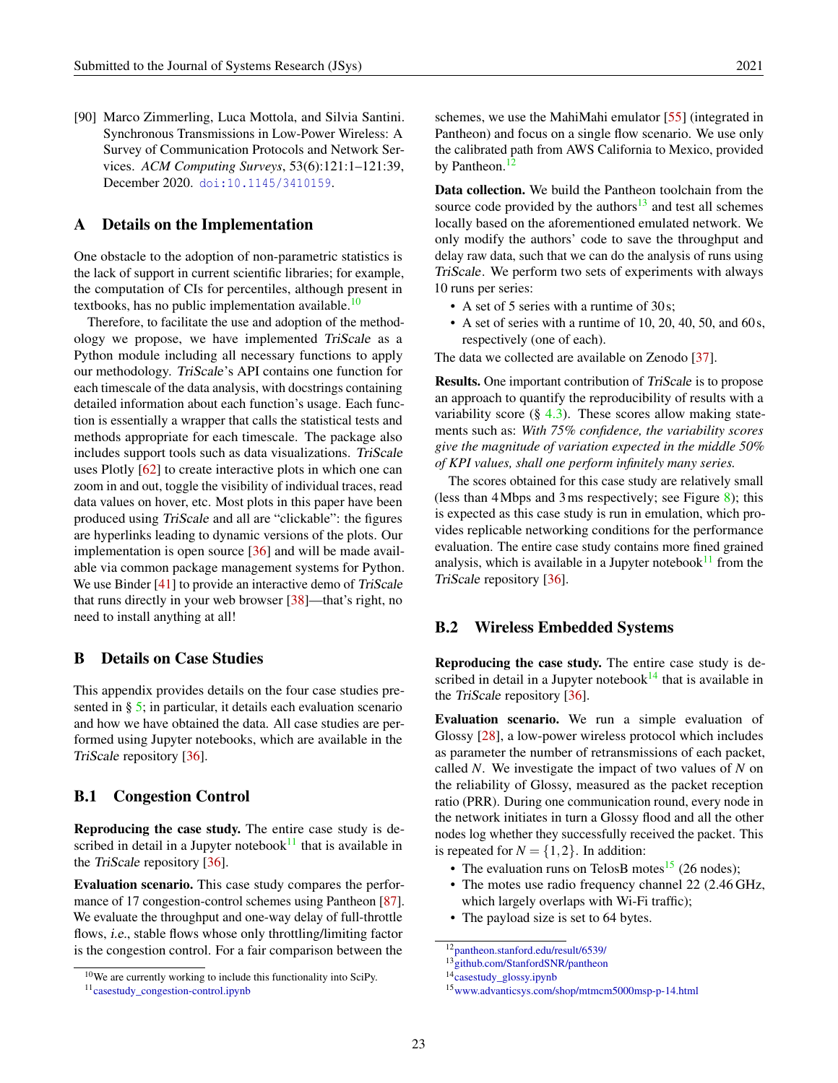<span id="page-22-3"></span>[90] Marco Zimmerling, Luca Mottola, and Silvia Santini. Synchronous Transmissions in Low-Power Wireless: A Survey of Communication Protocols and Network Services. *ACM Computing Surveys*, 53(6):121:1–121:39, December 2020. [doi:10.1145/3410159](https://doi.org/10.1145/3410159).

# <span id="page-22-0"></span>A Details on the Implementation

One obstacle to the adoption of non-parametric statistics is the lack of support in current scientific libraries; for example, the computation of CIs for percentiles, although present in textbooks, has no public implementation available. $10$ 

Therefore, to facilitate the use and adoption of the methodology we propose, we have implemented TriScale as a Python module including all necessary functions to apply our methodology. TriScale's API contains one function for each timescale of the data analysis, with docstrings containing detailed information about each function's usage. Each function is essentially a wrapper that calls the statistical tests and methods appropriate for each timescale. The package also includes support tools such as data visualizations. TriScale uses Plotly [\[62\]](#page-20-15) to create interactive plots in which one can zoom in and out, toggle the visibility of individual traces, read data values on hover, etc. Most plots in this paper have been produced using TriScale and all are "clickable": the figures are hyperlinks leading to dynamic versions of the plots. Our implementation is open source [\[36\]](#page-18-2) and will be made available via common package management systems for Python. We use Binder [\[41\]](#page-18-14) to provide an interactive demo of TriScale that runs directly in your web browser [\[38\]](#page-18-4)—that's right, no need to install anything at all!

#### <span id="page-22-2"></span>B Details on Case Studies

This appendix provides details on the four case studies presented in § [5;](#page-10-0) in particular, it details each evaluation scenario and how we have obtained the data. All case studies are performed using Jupyter notebooks, which are available in the TriScale repository [\[36\]](#page-18-2).

# <span id="page-22-1"></span>B.1 Congestion Control

Reproducing the case study. The entire case study is described in detail in a Jupyter notebook $11$  that is available in the TriScale repository [\[36\]](#page-18-2).

Evaluation scenario. This case study compares the perfor-mance of 17 congestion-control schemes using Pantheon [\[87\]](#page-21-2). We evaluate the throughput and one-way delay of full-throttle flows, i.e., stable flows whose only throttling/limiting factor is the congestion control. For a fair comparison between the

schemes, we use the MahiMahi emulator [\[55\]](#page-19-5) (integrated in Pantheon) and focus on a single flow scenario. We use only the calibrated path from AWS California to Mexico, provided by Pantheon.<sup>[12](#page-22-7)</sup>

Data collection. We build the Pantheon toolchain from the source code provided by the authors $13$  and test all schemes locally based on the aforementioned emulated network. We only modify the authors' code to save the throughput and delay raw data, such that we can do the analysis of runs using TriScale. We perform two sets of experiments with always 10 runs per series:

- A set of 5 series with a runtime of 30 s;
- A set of series with a runtime of 10, 20, 40, 50, and 60s, respectively (one of each).

The data we collected are available on Zenodo [\[37\]](#page-18-3).

Results. One important contribution of TriScale is to propose an approach to quantify the reproducibility of results with a variability score  $(\S$  [4.3\)](#page-7-1). These scores allow making statements such as: *With 75% confidence, the variability scores give the magnitude of variation expected in the middle 50% of KPI values, shall one perform infinitely many series.*

The scores obtained for this case study are relatively small (less than 4Mbps and 3ms respectively; see Figure [8\)](#page-23-2); this is expected as this case study is run in emulation, which provides replicable networking conditions for the performance evaluation. The entire case study contains more fined grained analysis, which is available in a Jupyter notebook $11$  from the TriScale repository [\[36\]](#page-18-2).

#### <span id="page-22-4"></span>B.2 Wireless Embedded Systems

Reproducing the case study. The entire case study is described in detail in a Jupyter notebook $14$  that is available in the TriScale repository [\[36\]](#page-18-2).

Evaluation scenario. We run a simple evaluation of Glossy [\[28\]](#page-17-5), a low-power wireless protocol which includes as parameter the number of retransmissions of each packet, called *N*. We investigate the impact of two values of *N* on the reliability of Glossy, measured as the packet reception ratio (PRR). During one communication round, every node in the network initiates in turn a Glossy flood and all the other nodes log whether they successfully received the packet. This is repeated for  $N = \{1, 2\}$ . In addition:

- The evaluation runs on TelosB motes<sup>[15](#page-22-10)</sup> (26 nodes);
- The motes use radio frequency channel 22 (2.46 GHz, which largely overlaps with Wi-Fi traffic);
- The payload size is set to 64 bytes.

<span id="page-22-6"></span><span id="page-22-5"></span><sup>10</sup>We are currently working to include this functionality into SciPy. <sup>11</sup>[casestudy\\_congestion-control.ipynb](https://github.com/romain-jacob/triscale/blob/master/casestudy_congestion-control.ipynb)

<span id="page-22-7"></span><sup>12</sup>[pantheon.stanford.edu/result/6539/](https://pantheon.stanford.edu/result/6539/)

<span id="page-22-8"></span><sup>&</sup>lt;sup>13</sup>[github.com/StanfordSNR/pantheon](https://github.com/StanfordSNR/pantheon)

<span id="page-22-9"></span><sup>&</sup>lt;sup>14</sup>[casestudy\\_glossy.ipynb](https://github.com/romain-jacob/triscale/blob/master/casestudy_glossy.ipynb)

<span id="page-22-10"></span><sup>15</sup>[www.advanticsys.com/shop/mtmcm5000msp-p-14.html](https://www.advanticsys.com/shop/mtmcm5000msp-p-14.html)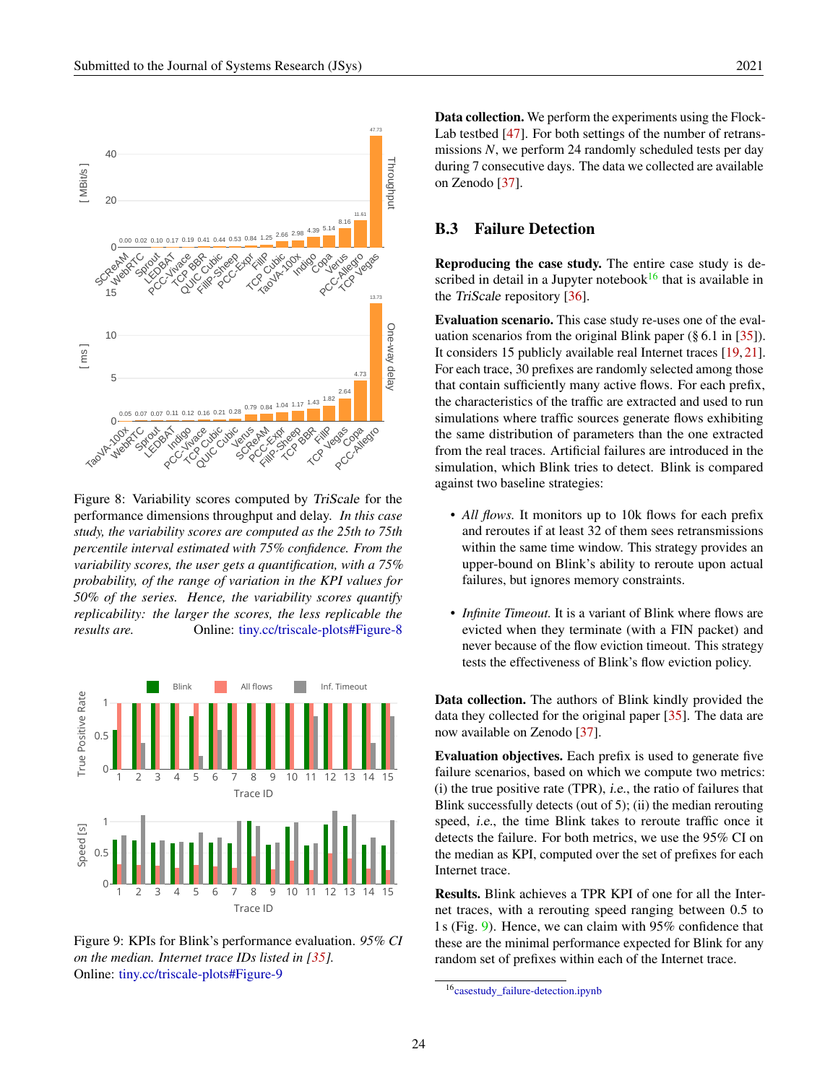<span id="page-23-2"></span>

Figure 8: Variability scores computed by TriScale for the performance dimensions throughput and delay. *In this case study, the variability scores are computed as the 25th to 75th percentile interval estimated with 75% confidence. From the variability scores, the user gets a quantification, with a 75% probability, of the range of variation in the KPI values for 50% of the series. Hence, the variability scores quantify replicability: the larger the scores, the less replicable the results are.* Online: [tiny.cc/triscale-plots#Figure-8](http://tiny.cc/triscale-plots#Figure-8)

<span id="page-23-1"></span>

Figure 9: KPIs for Blink's performance evaluation. *95% CI on the median. Internet trace IDs listed in [\[35\]](#page-18-6).* Online: [tiny.cc/triscale-plots#Figure-9](http://tiny.cc/triscale-plots#Figure-9)

Data collection. We perform the experiments using the Flock-Lab testbed [\[47\]](#page-19-9). For both settings of the number of retransmissions *N*, we perform 24 randomly scheduled tests per day during 7 consecutive days. The data we collected are available on Zenodo [\[37\]](#page-18-3).

# <span id="page-23-0"></span>B.3 Failure Detection

Reproducing the case study. The entire case study is described in detail in a Jupyter notebook $16$  that is available in the TriScale repository [\[36\]](#page-18-2).

Evaluation scenario. This case study re-uses one of the evaluation scenarios from the original Blink paper (§ 6.1 in [\[35\]](#page-18-6)). It considers 15 publicly available real Internet traces [\[19,](#page-17-6) [21\]](#page-17-7). For each trace, 30 prefixes are randomly selected among those that contain sufficiently many active flows. For each prefix, the characteristics of the traffic are extracted and used to run simulations where traffic sources generate flows exhibiting the same distribution of parameters than the one extracted from the real traces. Artificial failures are introduced in the simulation, which Blink tries to detect. Blink is compared against two baseline strategies:

- *All flows.* It monitors up to 10k flows for each prefix and reroutes if at least 32 of them sees retransmissions within the same time window. This strategy provides an upper-bound on Blink's ability to reroute upon actual failures, but ignores memory constraints.
- *Infinite Timeout*. It is a variant of Blink where flows are evicted when they terminate (with a FIN packet) and never because of the flow eviction timeout. This strategy tests the effectiveness of Blink's flow eviction policy.

Data collection. The authors of Blink kindly provided the data they collected for the original paper [\[35\]](#page-18-6). The data are now available on Zenodo [\[37\]](#page-18-3).

Evaluation objectives. Each prefix is used to generate five failure scenarios, based on which we compute two metrics: (i) the true positive rate (TPR), i.e., the ratio of failures that Blink successfully detects (out of 5); (ii) the median rerouting speed, i.e., the time Blink takes to reroute traffic once it detects the failure. For both metrics, we use the 95% CI on the median as KPI, computed over the set of prefixes for each Internet trace.

Results. Blink achieves a TPR KPI of one for all the Internet traces, with a rerouting speed ranging between 0.5 to 1s (Fig. [9\)](#page-23-1). Hence, we can claim with 95% confidence that these are the minimal performance expected for Blink for any random set of prefixes within each of the Internet trace.

<span id="page-23-3"></span><sup>16</sup>[casestudy\\_failure-detection.ipynb](https://github.com/romain-jacob/triscale/blob/master/casestudy_failure-detection.ipynb)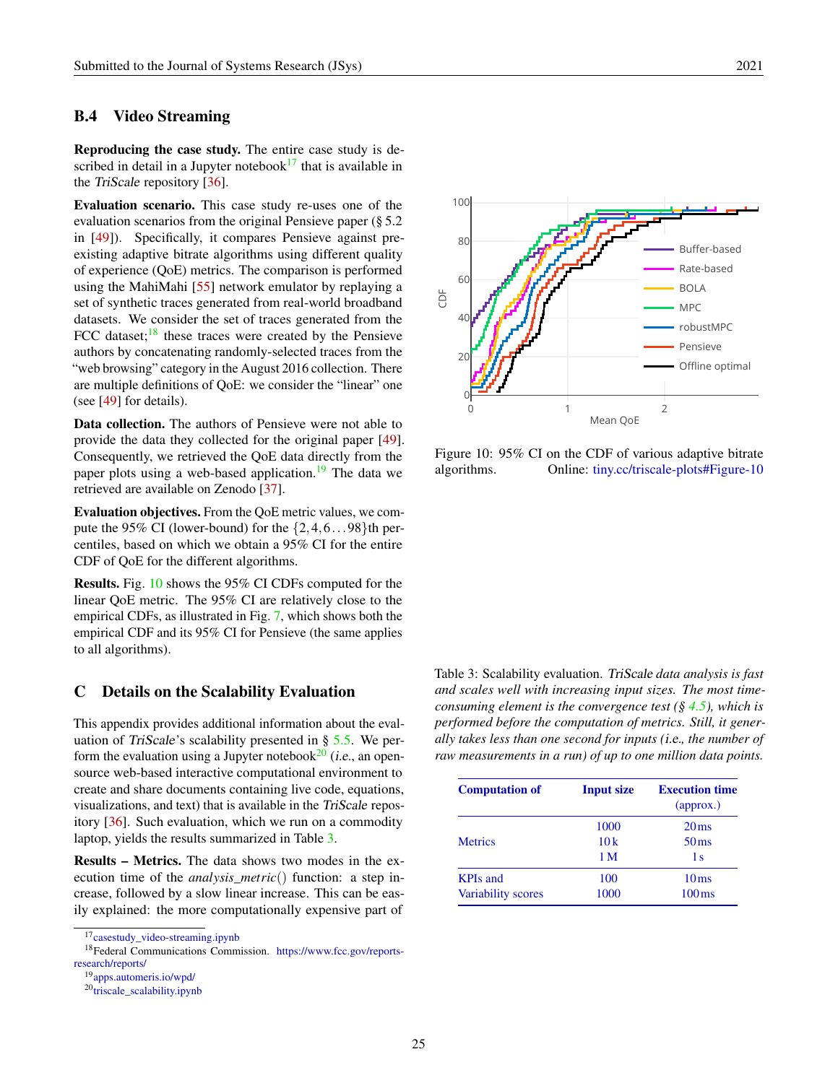# <span id="page-24-0"></span>B.4 Video Streaming

Reproducing the case study. The entire case study is described in detail in a Jupyter notebook $17$  that is available in the TriScale repository [\[36\]](#page-18-2).

Evaluation scenario. This case study re-uses one of the evaluation scenarios from the original Pensieve paper (§ 5.2 in [\[49\]](#page-19-10)). Specifically, it compares Pensieve against preexisting adaptive bitrate algorithms using different quality of experience (QoE) metrics. The comparison is performed using the MahiMahi [\[55\]](#page-19-5) network emulator by replaying a set of synthetic traces generated from real-world broadband datasets. We consider the set of traces generated from the FCC dataset; $\frac{18}{18}$  $\frac{18}{18}$  $\frac{18}{18}$  these traces were created by the Pensieve authors by concatenating randomly-selected traces from the "web browsing" category in the August 2016 collection. There are multiple definitions of QoE: we consider the "linear" one (see [\[49\]](#page-19-10) for details).

Data collection. The authors of Pensieve were not able to provide the data they collected for the original paper [\[49\]](#page-19-10). Consequently, we retrieved the QoE data directly from the paper plots using a web-based application.<sup>[19](#page-24-4)</sup> The data we retrieved are available on Zenodo [\[37\]](#page-18-3).

Evaluation objectives. From the QoE metric values, we compute the 95% CI (lower-bound) for the  $\{2, 4, 6...98\}$ th percentiles, based on which we obtain a 95% CI for the entire CDF of QoE for the different algorithms.

Results. Fig. [10](#page-24-5) shows the 95% CI CDFs computed for the linear QoE metric. The 95% CI are relatively close to the empirical CDFs, as illustrated in Fig. [7,](#page-12-3) which shows both the empirical CDF and its 95% CI for Pensieve (the same applies to all algorithms).

#### <span id="page-24-1"></span>C Details on the Scalability Evaluation

This appendix provides additional information about the evaluation of TriScale's scalability presented in  $\S$  [5.5.](#page-12-2) We perform the evaluation using a Jupyter notebook $^{20}$  $^{20}$  $^{20}$  (i.e., an opensource web-based interactive computational environment to create and share documents containing live code, equations, visualizations, and text) that is available in the TriScale repository [\[36\]](#page-18-2). Such evaluation, which we run on a commodity laptop, yields the results summarized in Table [3.](#page-24-7)

Results – Metrics. The data shows two modes in the execution time of the *analysis*\_*metric*() function: a step increase, followed by a slow linear increase. This can be easily explained: the more computationally expensive part of

<span id="page-24-3"></span><span id="page-24-2"></span>

<sup>18</sup>Federal Communications Commission. [https://www.fcc.gov/reports](https://www.fcc.gov/reports-research/reports/)[research/reports/](https://www.fcc.gov/reports-research/reports/)

<span id="page-24-4"></span><sup>19</sup>[apps.automeris.io/wpd/](https://apps.automeris.io/wpd/)

<span id="page-24-5"></span>

Figure 10: 95% CI on the CDF of various adaptive bitrate algorithms. Online: [tiny.cc/triscale-plots#Figure-10](http://tiny.cc/triscale-plots#Figure-10)

<span id="page-24-7"></span>Table 3: Scalability evaluation. TriScale *data analysis is fast and scales well with increasing input sizes. The most timeconsuming element is the convergence test (§ [4.5\)](#page-7-0), which is performed before the computation of metrics. Still, it generally takes less than one second for inputs (*i.e.*, the number of raw measurements in a run) of up to one million data points.*

| <b>Computation of</b>     | <b>Input size</b> | <b>Execution time</b><br>$\left($ approx. $\right)$ |
|---------------------------|-------------------|-----------------------------------------------------|
|                           | 1000              | $20 \,\mathrm{ms}$                                  |
| <b>Metrics</b>            | 10k               | 50 <sub>ms</sub>                                    |
|                           | 1 M               | 1 s                                                 |
| <b>KPIs and</b>           | 100               | 10 <sub>ms</sub>                                    |
| <b>Variability scores</b> | 1000              | $100 \,\mathrm{ms}$                                 |

<span id="page-24-6"></span> $20$ [triscale\\_scalability.ipynb](https://github.com/romain-jacob/triscale/blob/master/blob/master/triscale_scalability.ipynb)